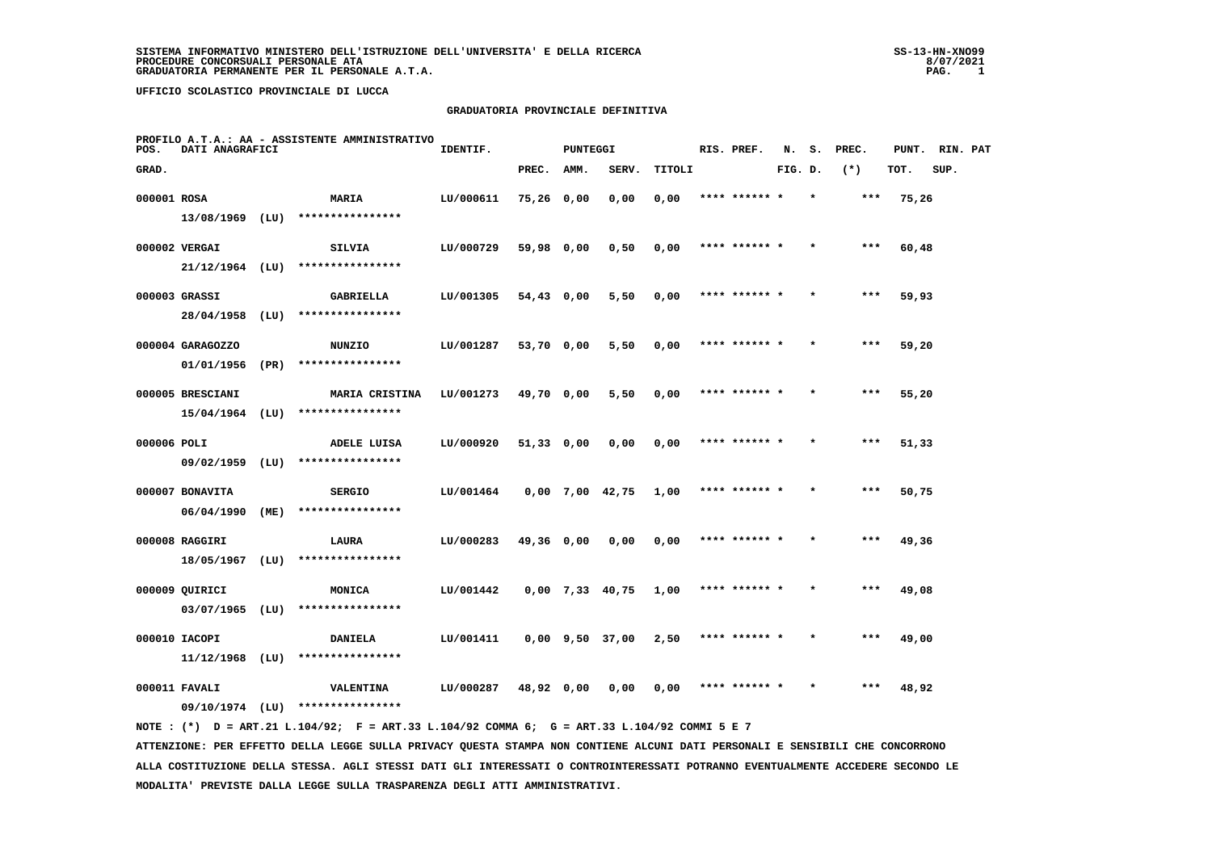#### **GRADUATORIA PROVINCIALE DEFINITIVA**

| POS.        | DATI ANAGRAFICI   |      | PROFILO A.T.A.: AA - ASSISTENTE AMMINISTRATIVO                                              | IDENTIF.  |            | <b>PUNTEGGI</b> |                       |        | RIS. PREF.    | N.      | s.      | PREC. | PUNT. | RIN. PAT |  |
|-------------|-------------------|------|---------------------------------------------------------------------------------------------|-----------|------------|-----------------|-----------------------|--------|---------------|---------|---------|-------|-------|----------|--|
| GRAD.       |                   |      |                                                                                             |           | PREC.      | AMM.            | SERV.                 | TITOLI |               | FIG. D. |         | $(*)$ | TOT.  | SUP.     |  |
| 000001 ROSA |                   |      | <b>MARIA</b>                                                                                | LU/000611 | 75,26 0,00 |                 | 0,00                  | 0,00   | **** ****** * |         | $\star$ | ***   | 75,26 |          |  |
|             | $13/08/1969$ (LU) |      | ****************                                                                            |           |            |                 |                       |        |               |         |         |       |       |          |  |
|             | 000002 VERGAI     |      | SILVIA                                                                                      | LU/000729 | 59,98 0,00 |                 | 0,50                  | 0,00   | **** ****** * |         |         | ***   | 60,48 |          |  |
|             | $21/12/1964$ (LU) |      | ****************                                                                            |           |            |                 |                       |        |               |         |         |       |       |          |  |
|             | 000003 GRASSI     |      | GABRIELLA                                                                                   | LU/001305 | 54,43 0,00 |                 | 5,50                  | 0,00   | **** ****** * |         |         | ***   | 59,93 |          |  |
|             | 28/04/1958 (LU)   |      | ****************                                                                            |           |            |                 |                       |        |               |         |         |       |       |          |  |
|             | 000004 GARAGOZZO  |      | <b>NUNZIO</b>                                                                               | LU/001287 | 53,70 0,00 |                 | 5,50                  | 0,00   | **** ****** * |         |         | ***   | 59,20 |          |  |
|             | 01/01/1956 (PR)   |      | ****************                                                                            |           |            |                 |                       |        |               |         |         |       |       |          |  |
|             | 000005 BRESCIANI  |      | <b>MARIA CRISTINA</b>                                                                       | LU/001273 | 49,70 0,00 |                 | 5,50                  | 0,00   | **** ****** * |         |         | ***   | 55,20 |          |  |
|             | $15/04/1964$ (LU) |      | ****************                                                                            |           |            |                 |                       |        |               |         |         |       |       |          |  |
| 000006 POLI |                   |      | <b>ADELE LUISA</b>                                                                          | LU/000920 | 51,33 0,00 |                 | 0,00                  | 0,00   | **** ****** * |         |         | ***   | 51,33 |          |  |
|             | 09/02/1959        | (LU) | ****************                                                                            |           |            |                 |                       |        |               |         |         |       |       |          |  |
|             | 000007 BONAVITA   |      | <b>SERGIO</b>                                                                               | LU/001464 |            |                 | 0,00 7,00 42,75       | 1,00   | **** ****** * |         |         | $***$ | 50,75 |          |  |
|             | 06/04/1990        | (ME) | ****************                                                                            |           |            |                 |                       |        |               |         |         |       |       |          |  |
|             | 000008 RAGGIRI    |      | LAURA                                                                                       | LU/000283 | 49,36 0,00 |                 | 0,00                  | 0,00   | **** ****** * |         |         | ***   | 49,36 |          |  |
|             | 18/05/1967        | (LU) | ****************                                                                            |           |            |                 |                       |        |               |         |         |       |       |          |  |
|             | 000009 QUIRICI    |      | MONICA                                                                                      | LU/001442 |            |                 | $0,00$ 7,33 40,75     | 1,00   | **** ****** * |         |         | $***$ | 49,08 |          |  |
|             | $03/07/1965$ (LU) |      | ****************                                                                            |           |            |                 |                       |        |               |         |         |       |       |          |  |
|             | 000010 IACOPI     |      | <b>DANIELA</b>                                                                              | LU/001411 |            |                 | $0,00$ $9,50$ $37,00$ | 2,50   | **** ****** * |         |         | ***   | 49,00 |          |  |
|             | $11/12/1968$ (LU) |      | ****************                                                                            |           |            |                 |                       |        |               |         |         |       |       |          |  |
|             | 000011 FAVALI     |      | <b>VALENTINA</b>                                                                            | LU/000287 | 48,92 0,00 |                 | 0,00                  | 0,00   | **** ****** * |         |         | ***   | 48,92 |          |  |
|             |                   |      | 09/10/1974 (LU) ****************                                                            |           |            |                 |                       |        |               |         |         |       |       |          |  |
|             |                   |      | NOTE: (*) D = ART.21 L.104/92; F = ART.33 L.104/92 COMMA 6; G = ART.33 L.104/92 COMMI 5 E 7 |           |            |                 |                       |        |               |         |         |       |       |          |  |

 **ATTENZIONE: PER EFFETTO DELLA LEGGE SULLA PRIVACY QUESTA STAMPA NON CONTIENE ALCUNI DATI PERSONALI E SENSIBILI CHE CONCORRONO ALLA COSTITUZIONE DELLA STESSA. AGLI STESSI DATI GLI INTERESSATI O CONTROINTERESSATI POTRANNO EVENTUALMENTE ACCEDERE SECONDO LE MODALITA' PREVISTE DALLA LEGGE SULLA TRASPARENZA DEGLI ATTI AMMINISTRATIVI.**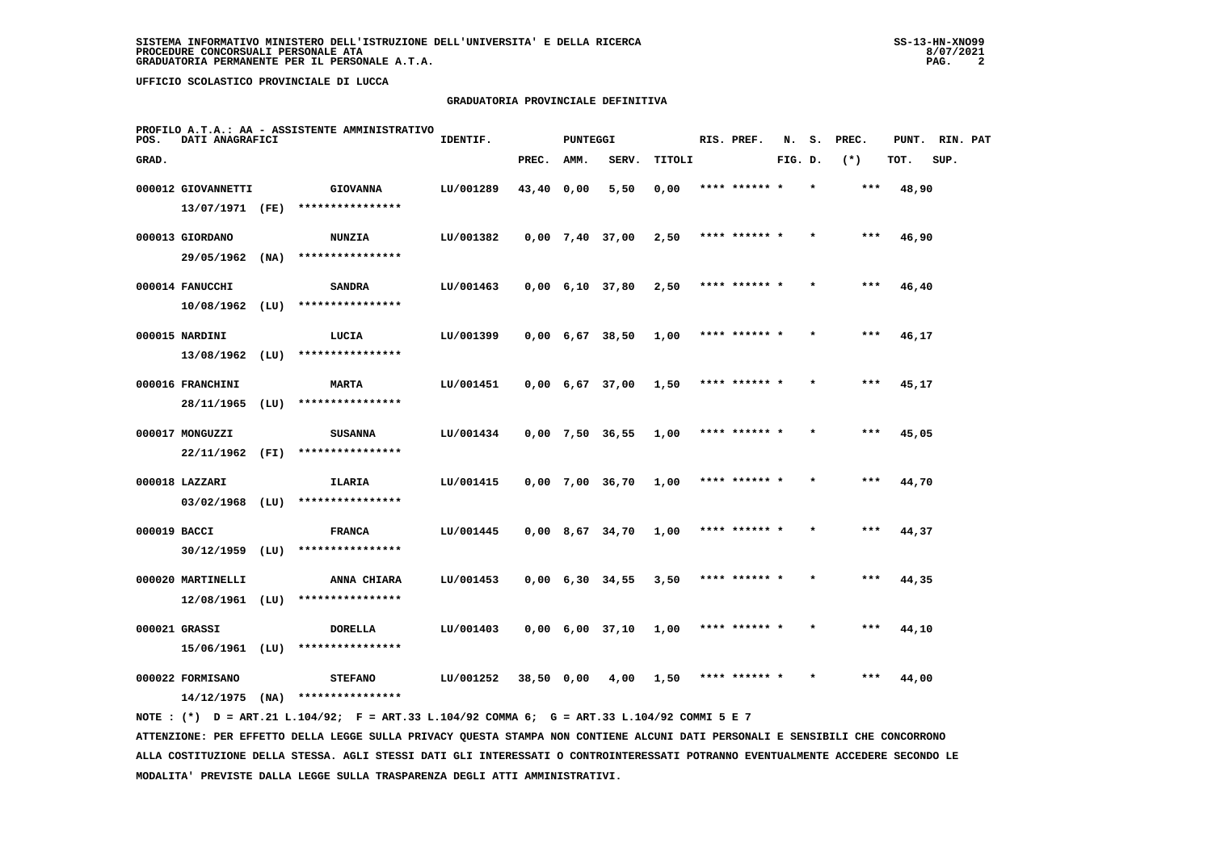# **GRADUATORIA PROVINCIALE DEFINITIVA**

| POS.         | DATI ANAGRAFICI    |      | PROFILO A.T.A.: AA - ASSISTENTE AMMINISTRATIVO | IDENTIF.  |            | <b>PUNTEGGI</b> |                               |        | RIS. PREF.    | N.      | s. | PREC. | PUNT. | RIN. PAT |  |
|--------------|--------------------|------|------------------------------------------------|-----------|------------|-----------------|-------------------------------|--------|---------------|---------|----|-------|-------|----------|--|
| GRAD.        |                    |      |                                                |           | PREC.      | AMM.            | SERV.                         | TITOLI |               | FIG. D. |    | $(*)$ | TOT.  | SUP.     |  |
|              | 000012 GIOVANNETTI |      | <b>GIOVANNA</b>                                | LU/001289 | 43,40 0,00 |                 | 5,50                          | 0,00   | **** ****** * |         |    | ***   | 48,90 |          |  |
|              | 13/07/1971 (FE)    |      | ****************                               |           |            |                 |                               |        |               |         |    |       |       |          |  |
|              | 000013 GIORDANO    |      | <b>NUNZIA</b>                                  | LU/001382 |            |                 | $0,00$ 7,40 37,00             | 2,50   | **** ****** * |         |    | ***   | 46,90 |          |  |
|              | 29/05/1962 (NA)    |      | ****************                               |           |            |                 |                               |        |               |         |    |       |       |          |  |
|              | 000014 FANUCCHI    |      | <b>SANDRA</b>                                  | LU/001463 |            |                 | $0,00 \quad 6,10 \quad 37,80$ | 2,50   | **** ****** * |         |    | $***$ | 46,40 |          |  |
|              | 10/08/1962         | (LU) | ****************                               |           |            |                 |                               |        |               |         |    |       |       |          |  |
|              | 000015 NARDINI     |      | LUCIA                                          | LU/001399 |            |                 | $0,00 \quad 6,67 \quad 38,50$ | 1,00   | **** ****** * |         |    | ***   | 46,17 |          |  |
|              | 13/08/1962         | (LU) | ****************                               |           |            |                 |                               |        |               |         |    |       |       |          |  |
|              | 000016 FRANCHINI   |      | <b>MARTA</b>                                   | LU/001451 |            |                 | $0,00$ 6,67 37,00             | 1,50   | **** ****** * |         |    | $***$ | 45,17 |          |  |
|              | 28/11/1965         | (LU) | ****************                               |           |            |                 |                               |        |               |         |    |       |       |          |  |
|              | 000017 MONGUZZI    |      | <b>SUSANNA</b>                                 | LU/001434 |            |                 | 0,00 7,50 36,55               | 1,00   | **** ****** * |         |    | $***$ | 45,05 |          |  |
|              | 22/11/1962         | (FI) | ****************                               |           |            |                 |                               |        |               |         |    |       |       |          |  |
|              | 000018 LAZZARI     |      | ILARIA                                         | LU/001415 |            |                 | $0,00$ 7,00 36,70             | 1,00   | **** ****** * |         |    | ***   | 44,70 |          |  |
|              | $03/02/1968$ (LU)  |      | ****************                               |           |            |                 |                               |        |               |         |    |       |       |          |  |
| 000019 BACCI |                    |      | <b>FRANCA</b>                                  | LU/001445 |            |                 | $0,00$ 8,67 34,70             | 1,00   | **** ****** * |         |    | ***   | 44,37 |          |  |
|              | $30/12/1959$ (LU)  |      | ****************                               |           |            |                 |                               |        |               |         |    |       |       |          |  |
|              | 000020 MARTINELLI  |      | ANNA CHIARA                                    | LU/001453 |            |                 | $0,00 \quad 6,30 \quad 34,55$ | 3,50   | **** ****** * |         |    | ***   | 44,35 |          |  |
|              | 12/08/1961         | (LU) | ****************                               |           |            |                 |                               |        |               |         |    |       |       |          |  |
|              | 000021 GRASSI      |      | <b>DORELLA</b>                                 | LU/001403 |            |                 | $0,00 \quad 6,00 \quad 37,10$ | 1,00   | **** ****** * |         |    | ***   | 44,10 |          |  |
|              | 15/06/1961 (LU)    |      | ****************                               |           |            |                 |                               |        |               |         |    |       |       |          |  |
|              | 000022 FORMISANO   |      | <b>STEFANO</b>                                 | LU/001252 | 38,50 0,00 |                 | 4,00                          | 1,50   | **** ****** * |         |    | ***   | 44,00 |          |  |
|              | 14/12/1975         | (NA) | ****************                               |           |            |                 |                               |        |               |         |    |       |       |          |  |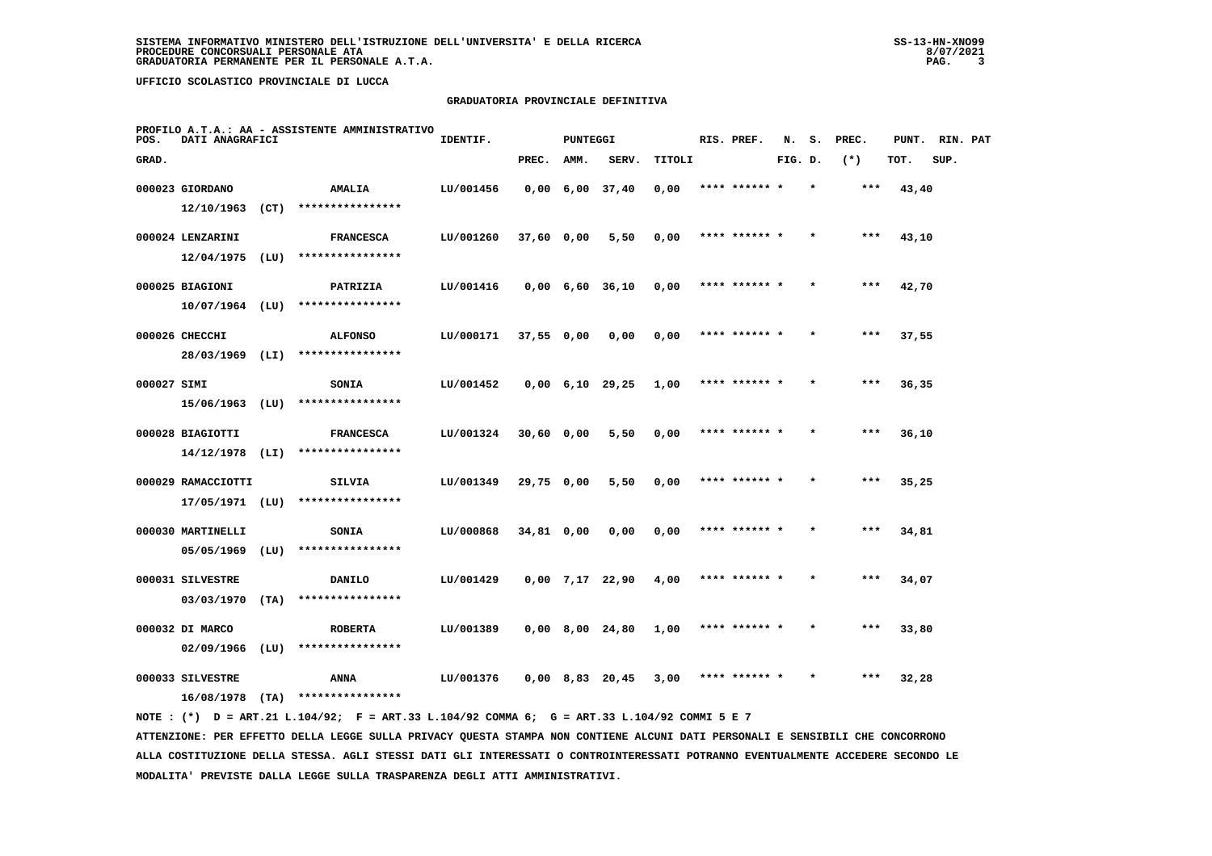### **GRADUATORIA PROVINCIALE DEFINITIVA**

| POS.        | DATI ANAGRAFICI    |      | PROFILO A.T.A.: AA - ASSISTENTE AMMINISTRATIVO | IDENTIF.  |              | <b>PUNTEGGI</b> |                   |        | RIS. PREF.    | N.      | s. | PREC. | PUNT. | RIN. PAT |  |
|-------------|--------------------|------|------------------------------------------------|-----------|--------------|-----------------|-------------------|--------|---------------|---------|----|-------|-------|----------|--|
| GRAD.       |                    |      |                                                |           | PREC.        | AMM.            | SERV.             | TITOLI |               | FIG. D. |    | $(*)$ | TOT.  | SUP.     |  |
|             | 000023 GIORDANO    |      | AMALIA                                         | LU/001456 |              |                 | $0,00$ 6,00 37,40 | 0,00   | **** ****** * |         |    | ***   | 43,40 |          |  |
|             | 12/10/1963         | (CT) | ****************                               |           |              |                 |                   |        |               |         |    |       |       |          |  |
|             | 000024 LENZARINI   |      | <b>FRANCESCA</b>                               | LU/001260 | 37,60 0,00   |                 | 5,50              | 0,00   | **** ****** * |         |    | $***$ | 43,10 |          |  |
|             | 12/04/1975         | (LU) | ****************                               |           |              |                 |                   |        |               |         |    |       |       |          |  |
|             | 000025 BIAGIONI    |      | PATRIZIA                                       | LU/001416 |              |                 | $0,00$ 6,60 36,10 | 0,00   | **** ****** * |         |    | $***$ | 42,70 |          |  |
|             | 10/07/1964         | (LU) | ****************                               |           |              |                 |                   |        |               |         |    |       |       |          |  |
|             | 000026 CHECCHI     |      | <b>ALFONSO</b>                                 | LU/000171 | $37,55$ 0,00 |                 | 0,00              | 0,00   | **** ****** * |         |    | ***   | 37,55 |          |  |
|             | 28/03/1969 (LI)    |      | ****************                               |           |              |                 |                   |        |               |         |    |       |       |          |  |
| 000027 SIMI |                    |      | SONIA                                          | LU/001452 |              |                 | $0,00$ 6,10 29,25 | 1,00   | **** ****** * |         |    | $***$ | 36,35 |          |  |
|             | $15/06/1963$ (LU)  |      | ****************                               |           |              |                 |                   |        |               |         |    |       |       |          |  |
|             | 000028 BIAGIOTTI   |      | <b>FRANCESCA</b>                               | LU/001324 | 30,60 0,00   |                 | 5,50              | 0,00   | **** ****** * |         |    | ***   | 36,10 |          |  |
|             | $14/12/1978$ (LI)  |      | ****************                               |           |              |                 |                   |        |               |         |    |       |       |          |  |
|             | 000029 RAMACCIOTTI |      | SILVIA                                         | LU/001349 | 29,75 0,00   |                 | 5,50              | 0,00   | **** ****** * |         |    | $***$ | 35,25 |          |  |
|             | 17/05/1971 (LU)    |      | ****************                               |           |              |                 |                   |        |               |         |    |       |       |          |  |
|             | 000030 MARTINELLI  |      | <b>SONIA</b>                                   | LU/000868 | 34,81 0,00   |                 | 0,00              | 0,00   | **** ****** * |         |    | ***   | 34,81 |          |  |
|             | 05/05/1969         | (LU) | ****************                               |           |              |                 |                   |        |               |         |    |       |       |          |  |
|             | 000031 SILVESTRE   |      | <b>DANILO</b>                                  | LU/001429 |              |                 | $0,00$ 7,17 22,90 | 4,00   | **** ****** * |         |    | $***$ | 34,07 |          |  |
|             | 03/03/1970         | (TA) | ****************                               |           |              |                 |                   |        |               |         |    |       |       |          |  |
|             | 000032 DI MARCO    |      | <b>ROBERTA</b>                                 | LU/001389 |              |                 | $0,00$ 8,00 24,80 | 1,00   | **** ****** * |         |    | ***   | 33,80 |          |  |
|             | 02/09/1966         | (LU) | ****************                               |           |              |                 |                   |        |               |         |    |       |       |          |  |
|             | 000033 SILVESTRE   |      | ANNA                                           | LU/001376 |              |                 | $0,00$ 8,83 20,45 | 3,00   | **** ****** * |         |    | ***   | 32,28 |          |  |
|             | 16/08/1978         | (TA) | ****************                               |           |              |                 |                   |        |               |         |    |       |       |          |  |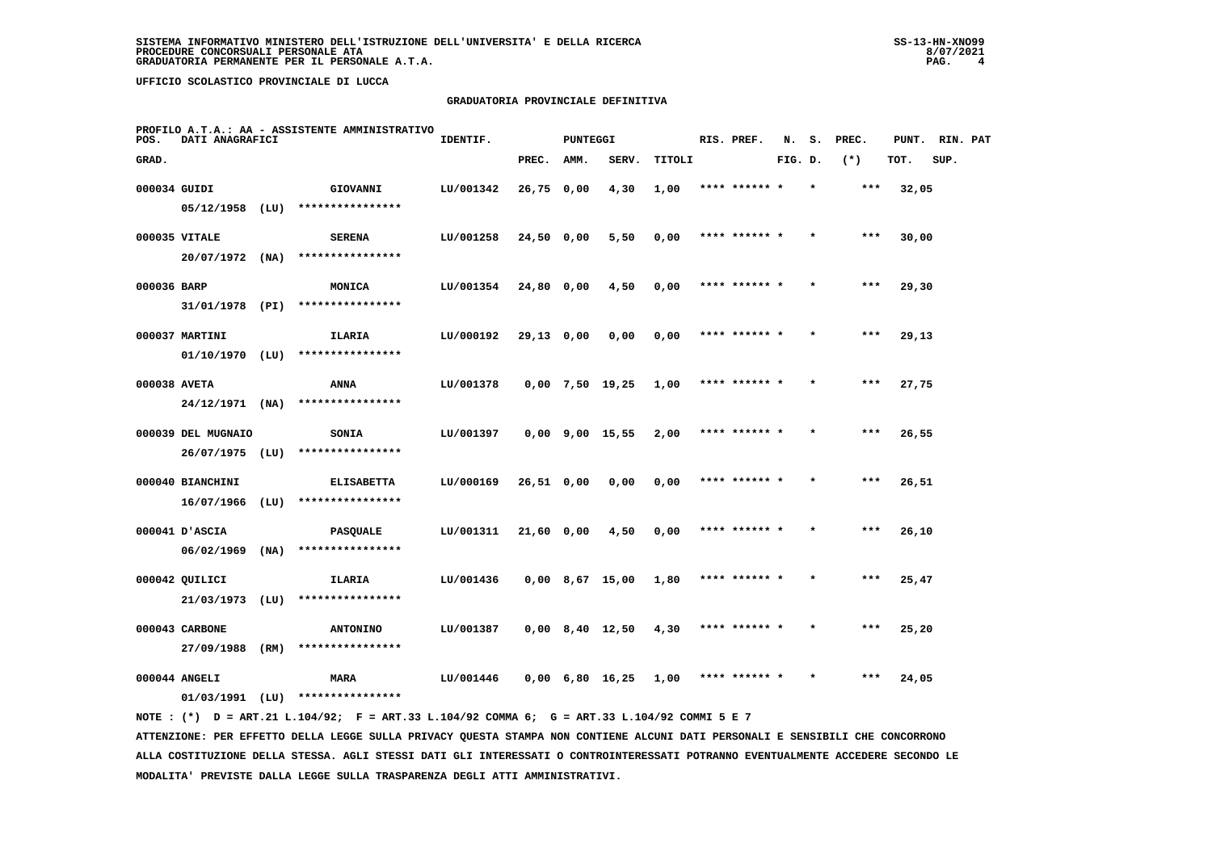# **GRADUATORIA PROVINCIALE DEFINITIVA**

| POS.         | DATI ANAGRAFICI              |      | PROFILO A.T.A.: AA - ASSISTENTE AMMINISTRATIVO | IDENTIF.  |              | PUNTEGGI |                               |        | RIS. PREF.    | N.      |         | S. PREC. | PUNT. RIN. PAT |      |  |
|--------------|------------------------------|------|------------------------------------------------|-----------|--------------|----------|-------------------------------|--------|---------------|---------|---------|----------|----------------|------|--|
| GRAD.        |                              |      |                                                |           | PREC.        | AMM.     | SERV.                         | TITOLI |               | FIG. D. |         | $(*)$    | TOT.           | SUP. |  |
| 000034 GUIDI |                              |      | GIOVANNI                                       | LU/001342 | $26,75$ 0,00 |          | 4,30                          | 1,00   | **** ******   |         |         | ***      | 32,05          |      |  |
|              | $05/12/1958$ (LU)            |      | ****************                               |           |              |          |                               |        |               |         |         |          |                |      |  |
|              | 000035 VITALE                |      | <b>SERENA</b>                                  | LU/001258 | 24,50 0,00   |          | 5,50                          | 0,00   | **** ****** * |         |         | $***$    | 30,00          |      |  |
|              | $20/07/1972$ (NA)            |      | ****************                               |           |              |          |                               |        |               |         |         |          |                |      |  |
| 000036 BARP  |                              |      | MONICA                                         | LU/001354 | 24,80 0,00   |          | 4,50                          | 0,00   | **** ****** * |         | $\star$ | ***      | 29,30          |      |  |
|              | 31/01/1978 (PI)              |      | ****************                               |           |              |          |                               |        |               |         |         |          |                |      |  |
|              | 000037 MARTINI               |      | ILARIA                                         | LU/000192 | 29,13 0,00   |          | 0,00                          | 0,00   | **** ****** * |         |         | $***$    | 29,13          |      |  |
|              | $01/10/1970$ (LU)            |      | ****************                               |           |              |          |                               |        |               |         |         |          |                |      |  |
| 000038 AVETA |                              |      | ANNA                                           | LU/001378 |              |          | $0,00$ 7,50 19,25             | 1,00   | **** ****** * |         |         | $***$    | 27,75          |      |  |
|              | $24/12/1971$ (NA)            |      | ****************                               |           |              |          |                               |        |               |         |         |          |                |      |  |
|              | 000039 DEL MUGNAIO           |      | <b>SONIA</b>                                   | LU/001397 |              |          | $0,00$ $9,00$ $15,55$         | 2,00   | **** ****** * |         |         | $***$    | 26,55          |      |  |
|              | 26/07/1975                   | (LU) | ****************                               |           |              |          |                               |        |               |         |         |          |                |      |  |
|              | 000040 BIANCHINI             |      | <b>ELISABETTA</b>                              | LU/000169 | $26,51$ 0,00 |          | 0,00                          | 0,00   |               |         |         | ***      | 26,51          |      |  |
|              | 16/07/1966                   | (LU) | ****************                               |           |              |          |                               |        |               |         |         |          |                |      |  |
|              | 000041 D'ASCIA               |      | <b>PASQUALE</b>                                | LU/001311 | $21,60$ 0,00 |          | 4,50                          | 0,00   | **** ****** * |         |         | $***$    | 26,10          |      |  |
|              | 06/02/1969                   | (NA) | ****************                               |           |              |          |                               |        |               |         |         |          |                |      |  |
|              | 000042 QUILICI               |      | ILARIA                                         | LU/001436 |              |          | $0,00$ 8,67 15,00             | 1,80   | **** ****** * |         | $\star$ | ***      | 25,47          |      |  |
|              | 21/03/1973                   | (LU) | ****************                               |           |              |          |                               |        |               |         |         |          |                |      |  |
|              |                              |      |                                                |           |              |          |                               |        | **** ****** * |         |         | $***$    |                |      |  |
|              | 000043 CARBONE<br>27/09/1988 | (RM) | <b>ANTONINO</b><br>****************            | LU/001387 |              |          | $0,00$ 8,40 12,50             | 4,30   |               |         |         |          | 25,20          |      |  |
|              |                              |      |                                                |           |              |          |                               |        |               |         |         |          |                |      |  |
|              | 000044 ANGELI                |      | <b>MARA</b>                                    | LU/001446 |              |          | $0,00 \quad 6,80 \quad 16,25$ | 1,00   | **** ****** * |         |         | ***      | 24,05          |      |  |
|              | 01/03/1991                   | (LU) | ****************                               |           |              |          |                               |        |               |         |         |          |                |      |  |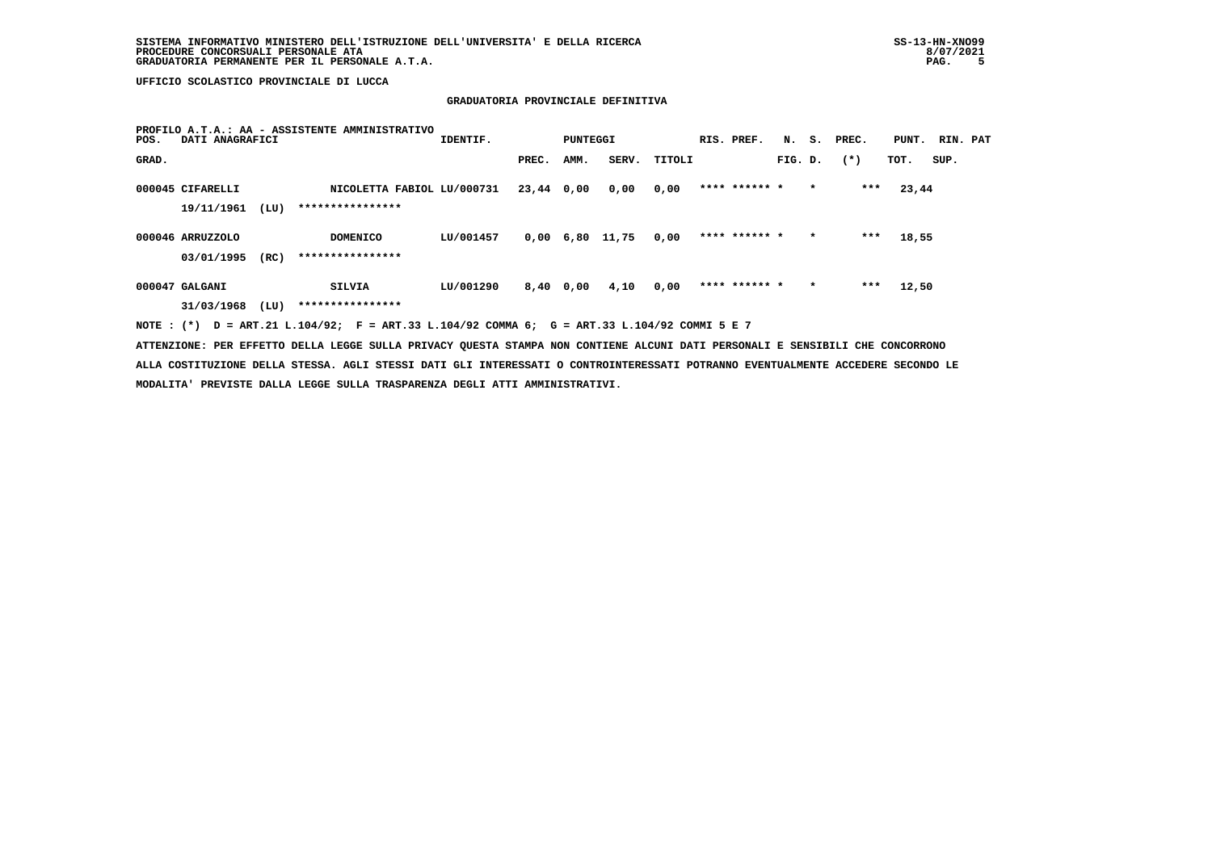### **GRADUATORIA PROVINCIALE DEFINITIVA**

| POS.  | DATI ANAGRAFICI  |      | PROFILO A.T.A.: AA - ASSISTENTE AMMINISTRATIVO                                              | IDENTIF.  |            | PUNTEGGI |                   |        | RIS. PREF.    |         |         | N. S. PREC. | PUNT. RIN. PAT |      |  |
|-------|------------------|------|---------------------------------------------------------------------------------------------|-----------|------------|----------|-------------------|--------|---------------|---------|---------|-------------|----------------|------|--|
| GRAD. |                  |      |                                                                                             |           | PREC.      | AMM.     | SERV.             | TITOLI |               | FIG. D. |         | $(*)$       | TOT.           | SUP. |  |
|       | 000045 CIFARELLI |      | NICOLETTA FABIOL LU/000731                                                                  |           | 23,44 0,00 |          | 0,00              | 0,00   | **** ****** * |         | $\star$ | ***         | 23,44          |      |  |
|       | 19/11/1961       | (LU) | ****************                                                                            |           |            |          |                   |        |               |         |         |             |                |      |  |
|       | 000046 ARRUZZOLO |      | <b>DOMENICO</b>                                                                             | LU/001457 |            |          | $0,00$ 6,80 11,75 | 0,00   | **** ****** * |         | $\star$ | ***         | 18,55          |      |  |
|       | 03/01/1995       | (RC) | ****************                                                                            |           |            |          |                   |        |               |         |         |             |                |      |  |
|       | 000047 GALGANI   |      | SILVIA                                                                                      | LU/001290 | 8,40 0,00  |          | 4,10              | 0,00   | **** ****** * |         | $\star$ | ***         | 12,50          |      |  |
|       | 31/03/1968       | (LU) | ****************                                                                            |           |            |          |                   |        |               |         |         |             |                |      |  |
|       |                  |      | NOTE: (*) D = ART.21 L.104/92; F = ART.33 L.104/92 COMMA 6; G = ART.33 L.104/92 COMMI 5 E 7 |           |            |          |                   |        |               |         |         |             |                |      |  |

 **ATTENZIONE: PER EFFETTO DELLA LEGGE SULLA PRIVACY QUESTA STAMPA NON CONTIENE ALCUNI DATI PERSONALI E SENSIBILI CHE CONCORRONO ALLA COSTITUZIONE DELLA STESSA. AGLI STESSI DATI GLI INTERESSATI O CONTROINTERESSATI POTRANNO EVENTUALMENTE ACCEDERE SECONDO LE MODALITA' PREVISTE DALLA LEGGE SULLA TRASPARENZA DEGLI ATTI AMMINISTRATIVI.**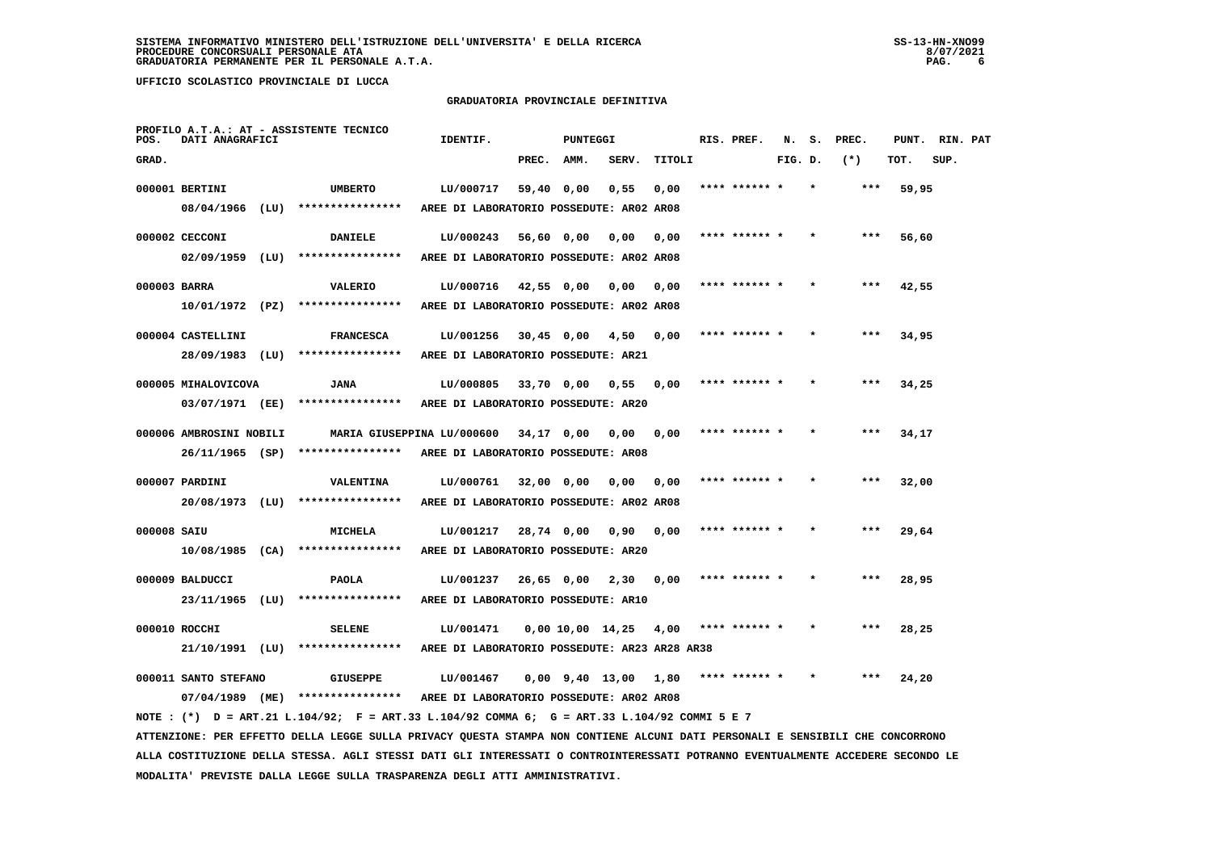### **GRADUATORIA PROVINCIALE DEFINITIVA**

| POS.         | DATI ANAGRAFICI         | PROFILO A.T.A.: AT - ASSISTENTE TECNICO                                                                                       | IDENTIF.                                         |            | <b>PUNTEGGI</b>   |                       |        | RIS. PREF.    |         | N. S. | PREC. | PUNT. RIN. PAT |      |  |
|--------------|-------------------------|-------------------------------------------------------------------------------------------------------------------------------|--------------------------------------------------|------------|-------------------|-----------------------|--------|---------------|---------|-------|-------|----------------|------|--|
| GRAD.        |                         |                                                                                                                               |                                                  | PREC.      | AMM.              | SERV.                 | TITOLI |               | FIG. D. |       | $(*)$ | TOT.           | SUP. |  |
|              | 000001 BERTINI          | <b>UMBERTO</b>                                                                                                                | LU/000717                                        | 59,40 0,00 |                   | 0,55                  | 0,00   | **** ****** * |         |       | $***$ | 59,95          |      |  |
|              | 08/04/1966 (LU)         | ****************                                                                                                              | AREE DI LABORATORIO POSSEDUTE: AR02 AR08         |            |                   |                       |        |               |         |       |       |                |      |  |
|              | 000002 CECCONI          | <b>DANIELE</b>                                                                                                                | LU/000243                                        | 56,60 0,00 |                   | 0,00                  | 0,00   | **** ****** * |         |       | $***$ | 56,60          |      |  |
|              | $02/09/1959$ (LU)       | ****************                                                                                                              | AREE DI LABORATORIO POSSEDUTE: AR02 AR08         |            |                   |                       |        |               |         |       |       |                |      |  |
| 000003 BARRA |                         | VALERIO                                                                                                                       | LU/000716                                        |            | 42,55 0,00 0,00   |                       | 0,00   | **** ****** * |         |       | ***   | 42,55          |      |  |
|              | 10/01/1972 (PZ)         | ****************                                                                                                              | AREE DI LABORATORIO POSSEDUTE: AR02 AR08         |            |                   |                       |        |               |         |       |       |                |      |  |
|              | 000004 CASTELLINI       | <b>FRANCESCA</b>                                                                                                              | LU/001256                                        |            | 30,45 0,00 4,50   |                       | 0,00   | **** ****** * |         |       | ***   | 34,95          |      |  |
|              | 28/09/1983 (LU)         | ****************                                                                                                              | AREE DI LABORATORIO POSSEDUTE: AR21              |            |                   |                       |        |               |         |       |       |                |      |  |
|              | 000005 MIHALOVICOVA     | <b>JANA</b>                                                                                                                   | LU/000805                                        |            | 33,70 0,00        | 0,55                  | 0,00   |               |         |       |       | 34,25          |      |  |
|              | 03/07/1971 (EE)         | ****************                                                                                                              | AREE DI LABORATORIO POSSEDUTE: AR20              |            |                   |                       |        |               |         |       |       |                |      |  |
|              | 000006 AMBROSINI NOBILI |                                                                                                                               | MARIA GIUSEPPINA LU/000600                       | 34,17 0,00 |                   | 0,00                  | 0,00   |               |         |       |       | 34,17          |      |  |
|              |                         | 26/11/1965 (SP) ****************                                                                                              | AREE DI LABORATORIO POSSEDUTE: AR08              |            |                   |                       |        |               |         |       |       |                |      |  |
|              |                         |                                                                                                                               |                                                  |            |                   |                       |        |               |         |       |       |                |      |  |
|              | 000007 PARDINI          | VALENTINA                                                                                                                     | LU/000761                                        | 32,00 0,00 |                   | 0.00                  | 0.00   |               |         |       |       | 32,00          |      |  |
|              |                         | 20/08/1973 (LU) ****************                                                                                              | AREE DI LABORATORIO POSSEDUTE: AR02 AR08         |            |                   |                       |        |               |         |       |       |                |      |  |
| 000008 SAIU  |                         | MICHELA                                                                                                                       | LU/001217                                        | 28,74 0,00 |                   | 0,90                  | 0,00   |               |         |       |       | 29,64          |      |  |
|              |                         | $10/08/1985$ (CA) ****************                                                                                            | AREE DI LABORATORIO POSSEDUTE: AR20              |            |                   |                       |        |               |         |       |       |                |      |  |
|              | 000009 BALDUCCI         | <b>PAOLA</b>                                                                                                                  | LU/001237                                        |            | $26,65$ 0,00 2,30 |                       | 0,00   | **** ****** * |         |       |       | 28,95          |      |  |
|              | 23/11/1965 (LU)         | ****************                                                                                                              | AREE DI LABORATORIO POSSEDUTE: AR10              |            |                   |                       |        |               |         |       |       |                |      |  |
|              | 000010 ROCCHI           | <b>SELENE</b>                                                                                                                 | LU/001471                                        |            |                   | 0,00 10,00 14,25      | 4,00   | **** ****** * |         |       | ***   | 28,25          |      |  |
|              | 21/10/1991 (LU)         | ****************                                                                                                              | AREE DI LABORATORIO POSSEDUTE: AR23 AR28 AR38    |            |                   |                       |        |               |         |       |       |                |      |  |
|              | 000011 SANTO STEFANO    | <b>GIUSEPPE</b>                                                                                                               | LU/001467                                        |            |                   | $0,00$ $9,40$ $13,00$ | 1,80   |               |         |       |       | 24,20          |      |  |
|              |                         | 07/04/1989 (ME) **************** AREE DI LABORATORIO POSSEDUTE: AR02 AR08                                                     |                                                  |            |                   |                       |        |               |         |       |       |                |      |  |
|              |                         | NOTE: (*) D = ART.21 L.104/92; F = ART.33 L.104/92 COMMA 6; G = ART.33 L.104/92 COMMI 5 E 7                                   |                                                  |            |                   |                       |        |               |         |       |       |                |      |  |
|              |                         | ATTENZIONE: PER EFFETTO DELLA LEGGE SULLA PRIVACY QUESTA STAMPA NON CONTIENE ALCUNI DATI PERSONALI E SENSIBILI CHE CONCORRONO |                                                  |            |                   |                       |        |               |         |       |       |                |      |  |
|              |                         |                                                                                                                               | $2000447$ bins ats simproduces a dairmativement. |            |                   |                       |        |               |         |       |       |                |      |  |

 **ALLA COSTITUZIONE DELLA STESSA. AGLI STESSI DATI GLI INTERESSATI O CONTROINTERESSATI POTRANNO EVENTUALMENTE ACCEDERE SECONDO LE MODALITA' PREVISTE DALLA LEGGE SULLA TRASPARENZA DEGLI ATTI AMMINISTRATIVI.**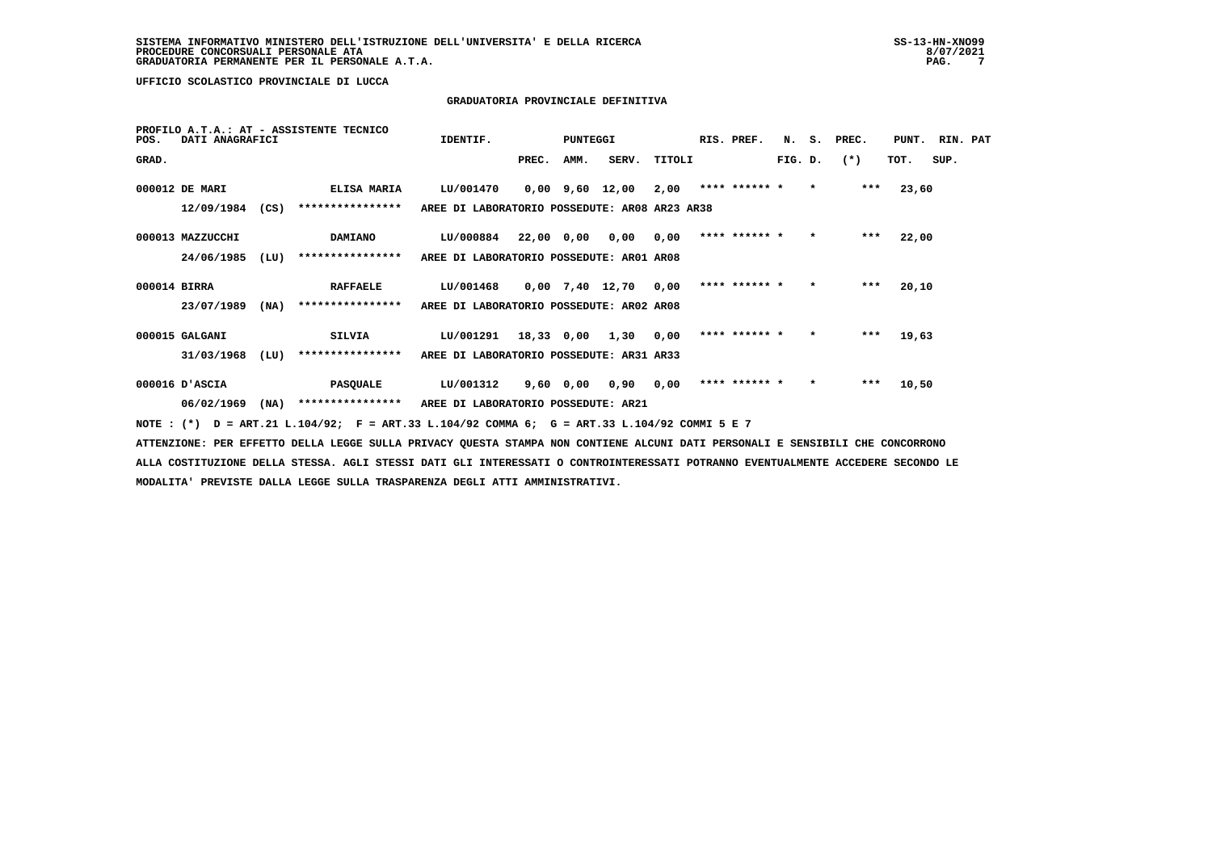### **GRADUATORIA PROVINCIALE DEFINITIVA**

| POS.         | DATI ANAGRAFICI  |      | PROFILO A.T.A.: AT - ASSISTENTE TECNICO                                                     | IDENTIF.                                      |            | PUNTEGGI  |                 |        | RIS. PREF.    |         |         | N. S. PREC. | PUNT. RIN. PAT |      |  |
|--------------|------------------|------|---------------------------------------------------------------------------------------------|-----------------------------------------------|------------|-----------|-----------------|--------|---------------|---------|---------|-------------|----------------|------|--|
| GRAD.        |                  |      |                                                                                             |                                               | PREC.      | AMM.      | SERV.           | TITOLI |               | FIG. D. |         | $(*)$       | TOT.           | SUP. |  |
|              | 000012 DE MARI   |      | <b>ELISA MARIA</b>                                                                          | LU/001470                                     |            |           | 0,00 9,60 12,00 | 2,00   | **** ****** * |         | $\star$ | $***$       | 23,60          |      |  |
|              | 12/09/1984       | (CS) | ****************                                                                            | AREE DI LABORATORIO POSSEDUTE: AR08 AR23 AR38 |            |           |                 |        |               |         |         |             |                |      |  |
|              | 000013 MAZZUCCHI |      | <b>DAMIANO</b>                                                                              | LU/000884                                     | 22,00 0,00 |           | 0,00            | 0.00   | **** ****** * |         | $\star$ | ***         | 22,00          |      |  |
|              | 24/06/1985       | (LU) | ****************                                                                            | AREE DI LABORATORIO POSSEDUTE: AR01 AR08      |            |           |                 |        |               |         |         |             |                |      |  |
| 000014 BIRRA |                  |      | <b>RAFFAELE</b>                                                                             | LU/001468                                     |            |           | 0,00 7,40 12,70 | 0.00   | **** ****** * |         | $\star$ | $***$       | 20,10          |      |  |
|              | 23/07/1989       | (MA) | ****************                                                                            | AREE DI LABORATORIO POSSEDUTE: AR02 AR08      |            |           |                 |        |               |         |         |             |                |      |  |
|              | 000015 GALGANI   |      | SILVIA                                                                                      | LU/001291                                     | 18,33 0,00 |           | 1,30            | 0.00   | **** ****** * |         | $\star$ | ***         | 19,63          |      |  |
|              | 31/03/1968       | (LU) | ****************                                                                            | AREE DI LABORATORIO POSSEDUTE: AR31 AR33      |            |           |                 |        |               |         |         |             |                |      |  |
|              | 000016 D'ASCIA   |      | <b>PASQUALE</b>                                                                             | LU/001312                                     |            | 9,60 0,00 | 0,90            | 0.00   | **** ****** * |         | $\star$ | $***$       | 10,50          |      |  |
|              | 06/02/1969       | (NA) | ****************                                                                            | AREE DI LABORATORIO POSSEDUTE: AR21           |            |           |                 |        |               |         |         |             |                |      |  |
|              |                  |      | NOTE: (*) D = ART.21 L.104/92; F = ART.33 L.104/92 COMMA 6; G = ART.33 L.104/92 COMMI 5 E 7 |                                               |            |           |                 |        |               |         |         |             |                |      |  |

 **ATTENZIONE: PER EFFETTO DELLA LEGGE SULLA PRIVACY QUESTA STAMPA NON CONTIENE ALCUNI DATI PERSONALI E SENSIBILI CHE CONCORRONO ALLA COSTITUZIONE DELLA STESSA. AGLI STESSI DATI GLI INTERESSATI O CONTROINTERESSATI POTRANNO EVENTUALMENTE ACCEDERE SECONDO LE MODALITA' PREVISTE DALLA LEGGE SULLA TRASPARENZA DEGLI ATTI AMMINISTRATIVI.**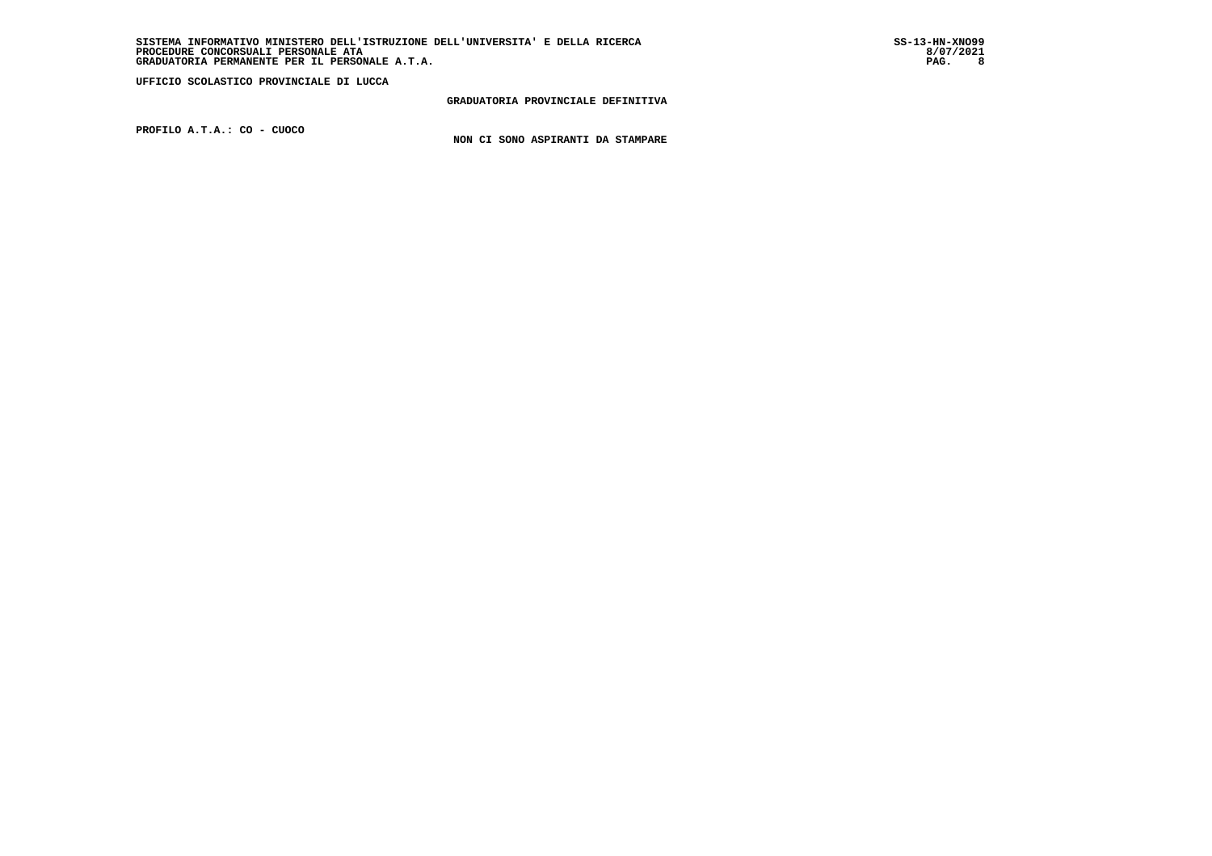**GRADUATORIA PROVINCIALE DEFINITIVA**

 **PROFILO A.T.A.: CO - CUOCO**

 **NON CI SONO ASPIRANTI DA STAMPARE**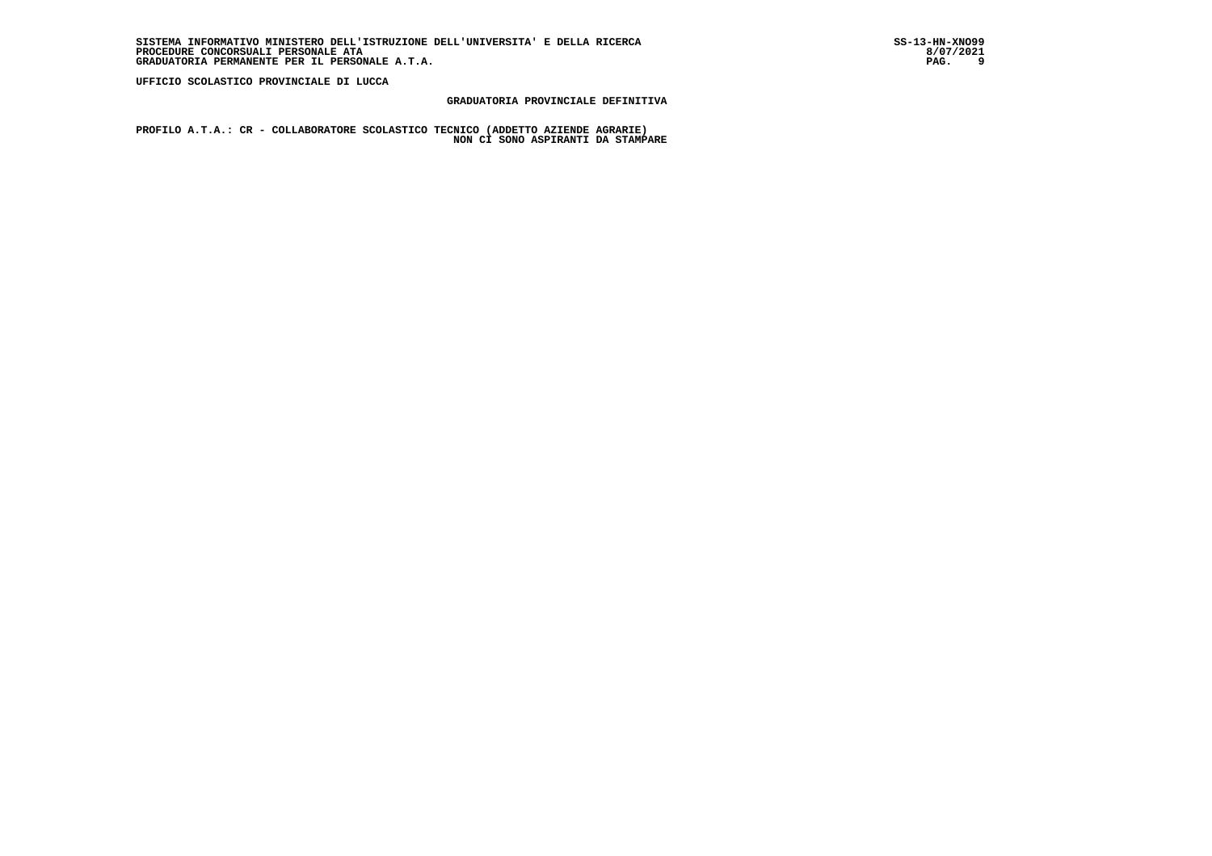### **GRADUATORIA PROVINCIALE DEFINITIVA**

 **PROFILO A.T.A.: CR - COLLABORATORE SCOLASTICO TECNICO (ADDETTO AZIENDE AGRARIE) NON CI SONO ASPIRANTI DA STAMPARE**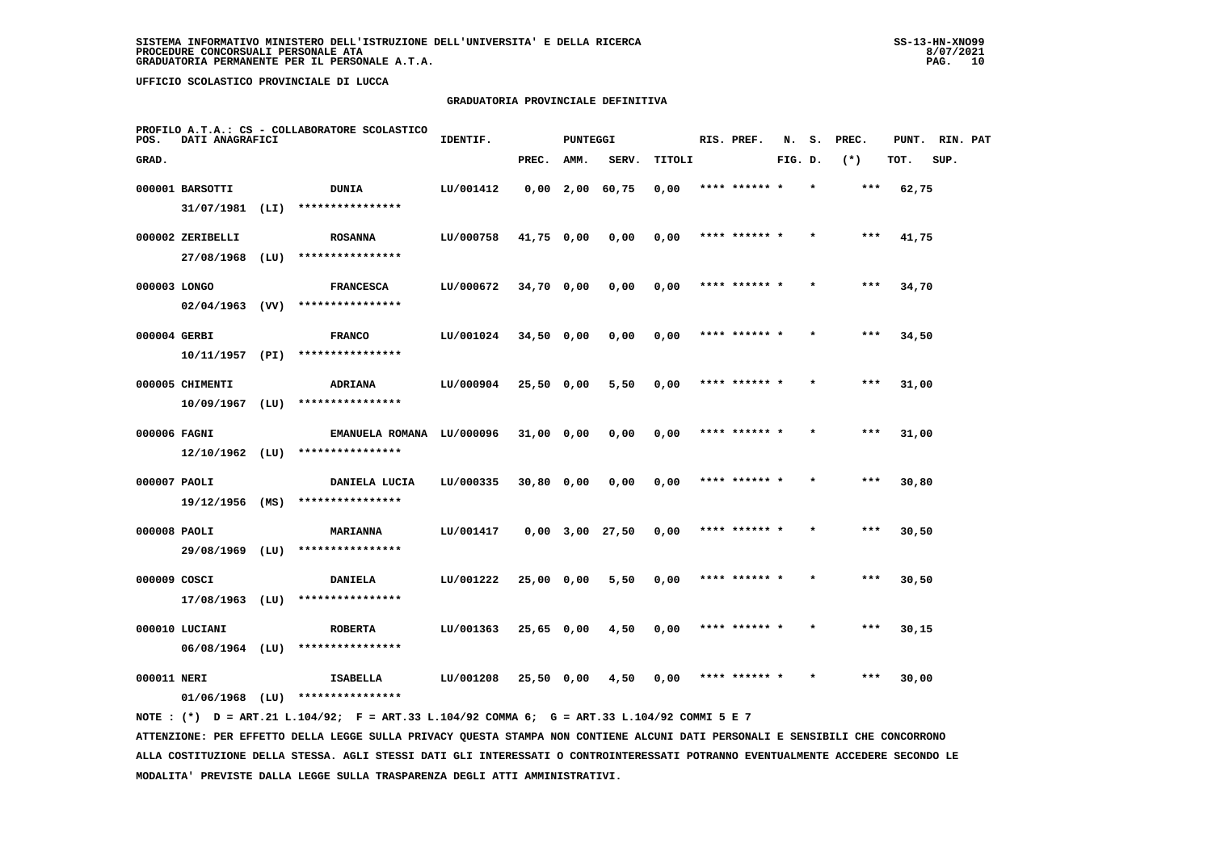### **GRADUATORIA PROVINCIALE DEFINITIVA**

| POS.         | DATI ANAGRAFICI   |      | PROFILO A.T.A.: CS - COLLABORATORE SCOLASTICO | IDENTIF.  |              | <b>PUNTEGGI</b> |                       |        | RIS. PREF.    | N.      | s.      | PREC. | PUNT. | RIN. PAT |  |
|--------------|-------------------|------|-----------------------------------------------|-----------|--------------|-----------------|-----------------------|--------|---------------|---------|---------|-------|-------|----------|--|
| GRAD.        |                   |      |                                               |           | PREC.        | AMM.            | SERV.                 | TITOLI |               | FIG. D. |         | $(*)$ | TOT.  | SUP.     |  |
|              | 000001 BARSOTTI   |      | <b>DUNIA</b>                                  | LU/001412 |              |                 | $0,00$ 2,00 60,75     | 0,00   | **** ****** * |         |         | ***   | 62,75 |          |  |
|              | 31/07/1981 (LI)   |      | ****************                              |           |              |                 |                       |        |               |         |         |       |       |          |  |
|              | 000002 ZERIBELLI  |      | <b>ROSANNA</b>                                | LU/000758 | 41,75 0,00   |                 | 0,00                  | 0,00   | **** ****** * |         |         | $***$ | 41,75 |          |  |
|              | 27/08/1968 (LU)   |      | ****************                              |           |              |                 |                       |        |               |         |         |       |       |          |  |
| 000003 LONGO |                   |      | <b>FRANCESCA</b>                              | LU/000672 | $34,70$ 0,00 |                 | 0,00                  | 0,00   | **** ****** * |         |         | $***$ | 34,70 |          |  |
|              | $02/04/1963$ (VV) |      | ****************                              |           |              |                 |                       |        |               |         |         |       |       |          |  |
| 000004 GERBI |                   |      | <b>FRANCO</b>                                 | LU/001024 | 34,50 0,00   |                 | 0,00                  | 0,00   | **** ****** * |         |         | ***   | 34,50 |          |  |
|              | 10/11/1957 (PI)   |      | ****************                              |           |              |                 |                       |        |               |         |         |       |       |          |  |
|              | 000005 CHIMENTI   |      | <b>ADRIANA</b>                                | LU/000904 | $25,50$ 0,00 |                 | 5,50                  | 0,00   | **** ****** * |         |         | $***$ | 31,00 |          |  |
|              | 10/09/1967        | (LU) | ****************                              |           |              |                 |                       |        |               |         |         |       |       |          |  |
| 000006 FAGNI |                   |      | EMANUELA ROMANA LU/000096                     |           | 31,00 0,00   |                 | 0,00                  | 0,00   | **** ****** * |         |         | $***$ | 31,00 |          |  |
|              | $12/10/1962$ (LU) |      | ****************                              |           |              |                 |                       |        |               |         |         |       |       |          |  |
| 000007 PAOLI |                   |      | DANIELA LUCIA                                 | LU/000335 | 30,80 0,00   |                 | 0,00                  | 0,00   | **** ****** * |         |         | ***   | 30,80 |          |  |
|              | $19/12/1956$ (MS) |      | ****************                              |           |              |                 |                       |        |               |         |         |       |       |          |  |
| 000008 PAOLI |                   |      | <b>MARIANNA</b>                               | LU/001417 |              |                 | $0,00$ $3,00$ $27,50$ | 0,00   |               |         |         | ***   | 30,50 |          |  |
|              | 29/08/1969 (LU)   |      | ****************                              |           |              |                 |                       |        |               |         |         |       |       |          |  |
| 000009 COSCI |                   |      | <b>DANIELA</b>                                | LU/001222 | 25,00 0,00   |                 | 5,50                  | 0,00   | **** ****** * |         |         | $***$ | 30,50 |          |  |
|              | $17/08/1963$ (LU) |      | ****************                              |           |              |                 |                       |        |               |         |         |       |       |          |  |
|              | 000010 LUCIANI    |      | <b>ROBERTA</b>                                | LU/001363 | 25,65 0,00   |                 | 4,50                  | 0,00   | **** ****** * |         | $\star$ | ***   | 30,15 |          |  |
|              | $06/08/1964$ (LU) |      | ****************                              |           |              |                 |                       |        |               |         |         |       |       |          |  |
| 000011 NERI  |                   |      | <b>ISABELLA</b>                               | LU/001208 | 25,50 0,00   |                 | 4,50                  | 0,00   | **** ****** * |         |         | ***   | 30,00 |          |  |
|              | $01/06/1968$ (LU) |      | ****************                              |           |              |                 |                       |        |               |         |         |       |       |          |  |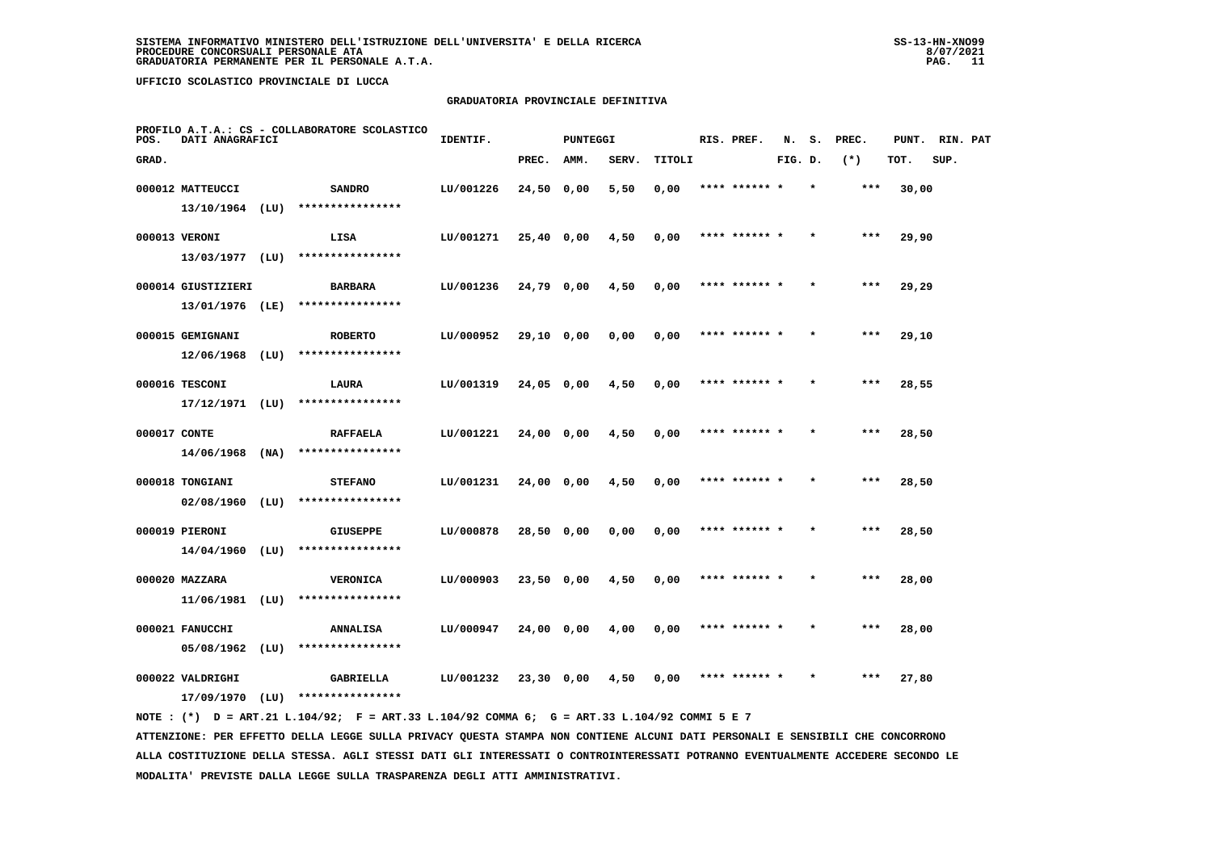# **GRADUATORIA PROVINCIALE DEFINITIVA**

| POS.         | DATI ANAGRAFICI    |      | PROFILO A.T.A.: CS - COLLABORATORE SCOLASTICO | IDENTIF.  |            | <b>PUNTEGGI</b> |       |        | RIS. PREF.    | N.      | s. | PREC. | PUNT. | RIN. PAT |  |
|--------------|--------------------|------|-----------------------------------------------|-----------|------------|-----------------|-------|--------|---------------|---------|----|-------|-------|----------|--|
| GRAD.        |                    |      |                                               |           | PREC.      | AMM.            | SERV. | TITOLI |               | FIG. D. |    | $(*)$ | TOT.  | SUP.     |  |
|              | 000012 MATTEUCCI   |      | <b>SANDRO</b>                                 | LU/001226 | 24,50 0,00 |                 | 5,50  | 0,00   | **** ****** * |         |    | ***   | 30,00 |          |  |
|              | 13/10/1964         | (LU) | ****************                              |           |            |                 |       |        |               |         |    |       |       |          |  |
|              | 000013 VERONI      |      | LISA                                          | LU/001271 | 25,40 0,00 |                 | 4,50  | 0,00   | **** ****** * |         |    | ***   | 29,90 |          |  |
|              | 13/03/1977 (LU)    |      | ****************                              |           |            |                 |       |        |               |         |    |       |       |          |  |
|              | 000014 GIUSTIZIERI |      | <b>BARBARA</b>                                | LU/001236 | 24,79 0,00 |                 | 4,50  | 0,00   | **** ****** * |         |    | ***   | 29,29 |          |  |
|              | 13/01/1976 (LE)    |      | ****************                              |           |            |                 |       |        |               |         |    |       |       |          |  |
|              | 000015 GEMIGNANI   |      | <b>ROBERTO</b>                                | LU/000952 | 29,10 0,00 |                 | 0,00  | 0,00   | **** ****** * |         |    | ***   | 29,10 |          |  |
|              | 12/06/1968         | (LU) | ****************                              |           |            |                 |       |        |               |         |    |       |       |          |  |
|              | 000016 TESCONI     |      | LAURA                                         | LU/001319 | 24,05 0,00 |                 | 4,50  | 0,00   | **** ****** * |         |    | $***$ | 28,55 |          |  |
|              | $17/12/1971$ (LU)  |      | ****************                              |           |            |                 |       |        |               |         |    |       |       |          |  |
| 000017 CONTE |                    |      | <b>RAFFAELA</b>                               | LU/001221 | 24,00 0,00 |                 | 4,50  | 0,00   | **** ****** * |         |    | $***$ | 28,50 |          |  |
|              | 14/06/1968         | (NA) | ****************                              |           |            |                 |       |        |               |         |    |       |       |          |  |
|              | 000018 TONGIANI    |      | <b>STEFANO</b>                                | LU/001231 | 24,00 0,00 |                 | 4,50  | 0,00   | **** ****** * |         |    | $***$ | 28,50 |          |  |
|              | 02/08/1960         | (LU) | ****************                              |           |            |                 |       |        |               |         |    |       |       |          |  |
|              | 000019 PIERONI     |      | <b>GIUSEPPE</b>                               | LU/000878 | 28,50 0,00 |                 | 0,00  | 0,00   | **** ****** * |         |    | ***   | 28,50 |          |  |
|              | 14/04/1960         | (LU) | ****************                              |           |            |                 |       |        |               |         |    |       |       |          |  |
|              | 000020 MAZZARA     |      | <b>VERONICA</b>                               | LU/000903 | 23,50 0,00 |                 | 4,50  | 0,00   | **** ****** * |         |    | ***   | 28,00 |          |  |
|              | 11/06/1981         | (LU) | ****************                              |           |            |                 |       |        |               |         |    |       |       |          |  |
|              | 000021 FANUCCHI    |      | ANNALISA                                      | LU/000947 | 24,00 0,00 |                 | 4,00  | 0,00   | **** ****** * |         |    | $***$ | 28,00 |          |  |
|              | 05/08/1962         | (LU) | ****************                              |           |            |                 |       |        |               |         |    |       |       |          |  |
|              | 000022 VALDRIGHI   |      | <b>GABRIELLA</b><br>****************          | LU/001232 | 23,30 0,00 |                 | 4,50  | 0,00   | **** ****** * |         |    | ***   | 27,80 |          |  |
|              | 17/09/1970         | (LU) |                                               |           |            |                 |       |        |               |         |    |       |       |          |  |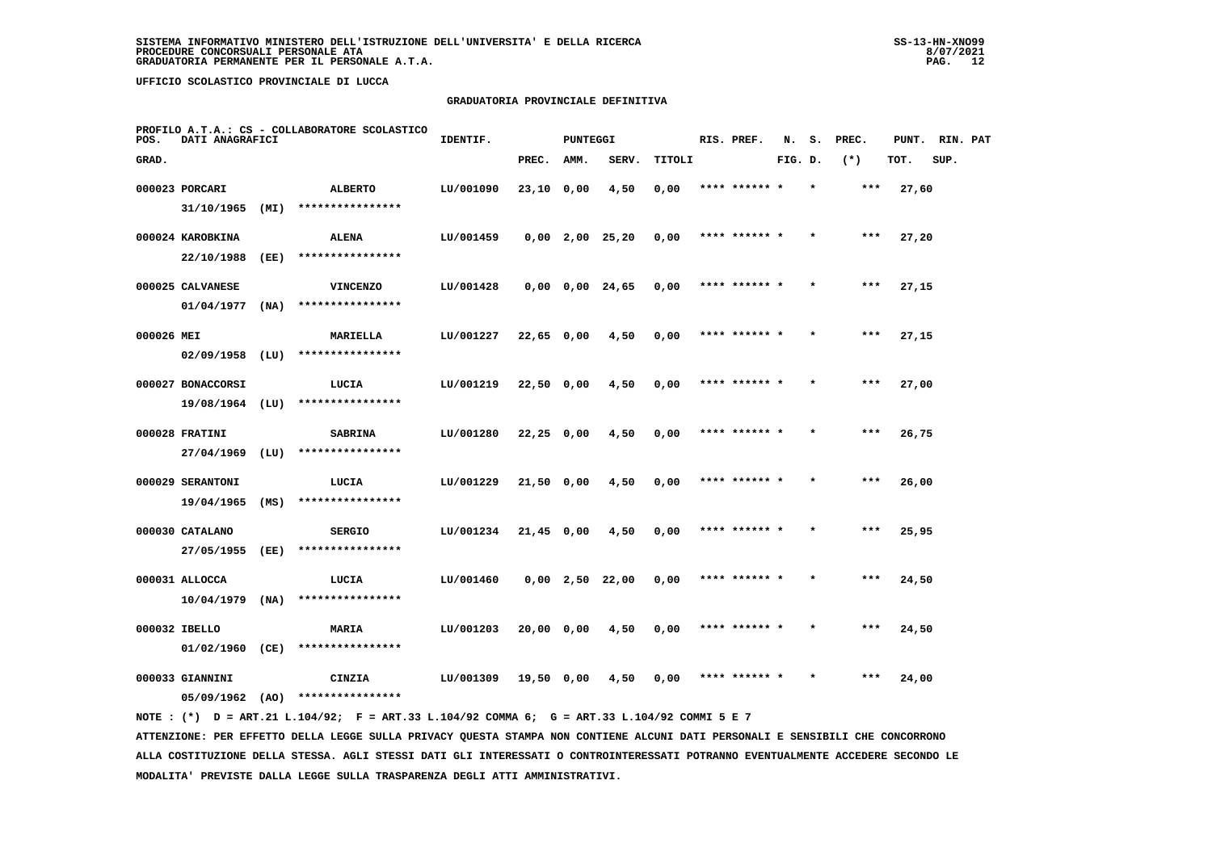# **GRADUATORIA PROVINCIALE DEFINITIVA**

| POS.       | DATI ANAGRAFICI                |      | PROFILO A.T.A.: CS - COLLABORATORE SCOLASTICO | IDENTIF.  |              | <b>PUNTEGGI</b> |                               |        | RIS. PREF.    | N.      | s.      | PREC. | PUNT. | RIN. PAT |  |
|------------|--------------------------------|------|-----------------------------------------------|-----------|--------------|-----------------|-------------------------------|--------|---------------|---------|---------|-------|-------|----------|--|
| GRAD.      |                                |      |                                               |           | PREC.        | <b>AMM.</b>     | SERV.                         | TITOLI |               | FIG. D. |         | $(*)$ | TOT.  | SUP.     |  |
|            | 000023 PORCARI                 |      | <b>ALBERTO</b>                                | LU/001090 | 23,10 0,00   |                 | 4,50                          | 0,00   | **** ****** * |         |         | ***   | 27,60 |          |  |
|            | 31/10/1965                     | (MI) | ****************                              |           |              |                 |                               |        |               |         |         |       |       |          |  |
|            | 000024 KAROBKINA               |      | <b>ALENA</b>                                  | LU/001459 |              |                 | $0,00$ 2,00 25,20             | 0,00   | **** ****** * |         |         | $***$ | 27,20 |          |  |
|            | 22/10/1988                     | (EE) | ****************                              |           |              |                 |                               |        |               |         |         |       |       |          |  |
|            | 000025 CALVANESE               |      | <b>VINCENZO</b>                               | LU/001428 |              |                 | 0,00 0,00 24,65               | 0,00   | **** ****** * |         |         | $***$ | 27,15 |          |  |
|            | 01/04/1977                     | (NA) | ****************                              |           |              |                 |                               |        |               |         |         |       |       |          |  |
| 000026 MEI |                                |      | <b>MARIELLA</b>                               | LU/001227 | 22,65 0,00   |                 | 4,50                          | 0,00   | **** ****** * |         | $\star$ | $***$ | 27,15 |          |  |
|            | 02/09/1958                     | (LU) | ****************                              |           |              |                 |                               |        |               |         |         |       |       |          |  |
|            | 000027 BONACCORSI              |      | LUCIA<br>****************                     | LU/001219 | 22,50 0,00   |                 | 4,50                          | 0,00   | **** ****** * |         |         | ***   | 27,00 |          |  |
|            | $19/08/1964$ (LU)              |      |                                               |           |              |                 |                               |        |               |         |         |       |       |          |  |
|            | 000028 FRATINI<br>27/04/1969   | (LU) | <b>SABRINA</b><br>****************            | LU/001280 | $22,25$ 0,00 |                 | 4,50                          | 0,00   | **** ****** * |         |         | ***   | 26,75 |          |  |
|            |                                |      |                                               |           |              |                 |                               |        |               |         |         |       |       |          |  |
|            | 000029 SERANTONI<br>19/04/1965 | (MS) | LUCIA<br>****************                     | LU/001229 | 21,50 0,00   |                 | 4,50                          | 0,00   | **** ****** * |         |         | $***$ | 26,00 |          |  |
|            | 000030 CATALANO                |      | <b>SERGIO</b>                                 | LU/001234 | $21,45$ 0,00 |                 | 4,50                          | 0,00   | **** ****** * |         |         | ***   | 25,95 |          |  |
|            | 27/05/1955                     | (EE) | ****************                              |           |              |                 |                               |        |               |         |         |       |       |          |  |
|            | 000031 ALLOCCA                 |      | LUCIA                                         | LU/001460 |              |                 | $0,00 \quad 2,50 \quad 22,00$ | 0,00   | **** ****** * |         |         | ***   | 24,50 |          |  |
|            | 10/04/1979                     | (NA) | ****************                              |           |              |                 |                               |        |               |         |         |       |       |          |  |
|            | 000032 IBELLO                  |      | <b>MARIA</b>                                  | LU/001203 | 20,00 0,00   |                 | 4,50                          | 0,00   | **** ****** * |         |         | ***   | 24,50 |          |  |
|            | 01/02/1960                     | (CE) | ****************                              |           |              |                 |                               |        |               |         |         |       |       |          |  |
|            | 000033 GIANNINI                |      | CINZIA                                        | LU/001309 | 19,50 0,00   |                 | 4,50                          | 0,00   | **** ****** * |         |         | ***   | 24,00 |          |  |
|            | $05/09/1962$ (AO)              |      | ****************                              |           |              |                 |                               |        |               |         |         |       |       |          |  |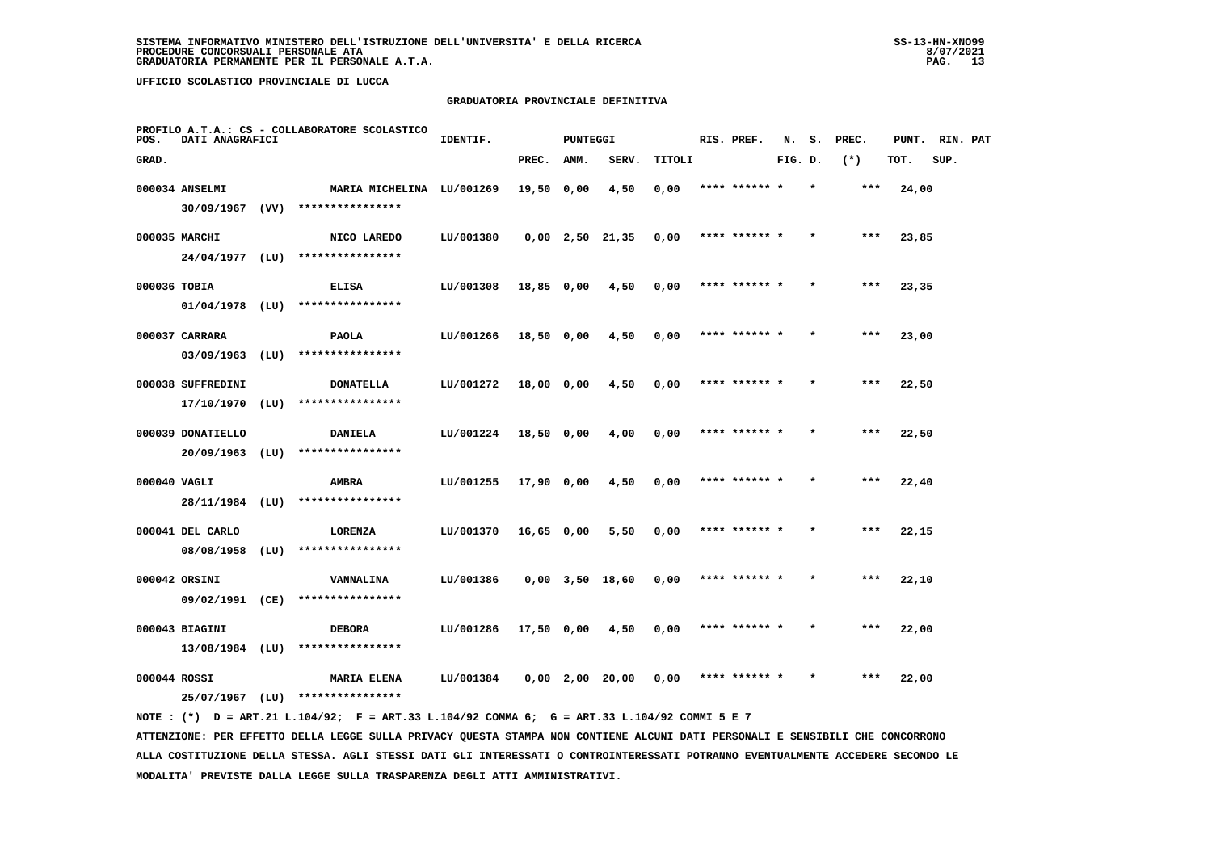### **GRADUATORIA PROVINCIALE DEFINITIVA**

| POS.         | DATI ANAGRAFICI   |      | PROFILO A.T.A.: CS - COLLABORATORE SCOLASTICO | IDENTIF.  |              | <b>PUNTEGGI</b> |                       |        | RIS. PREF.    | N.      | s.      | PREC. | PUNT. | RIN. PAT |  |
|--------------|-------------------|------|-----------------------------------------------|-----------|--------------|-----------------|-----------------------|--------|---------------|---------|---------|-------|-------|----------|--|
| GRAD.        |                   |      |                                               |           | PREC.        | AMM.            | SERV.                 | TITOLI |               | FIG. D. |         | $(*)$ | TOT.  | SUP.     |  |
|              | 000034 ANSELMI    |      | MARIA MICHELINA LU/001269                     |           | 19,50 0,00   |                 | 4,50                  | 0,00   | **** ****** * |         | $\star$ | $***$ | 24,00 |          |  |
|              | $30/09/1967$ (VV) |      | ****************                              |           |              |                 |                       |        |               |         |         |       |       |          |  |
|              | 000035 MARCHI     |      | NICO LAREDO                                   | LU/001380 |              |                 | $0,00$ 2,50 21,35     | 0,00   | **** ****** * |         |         | $***$ | 23,85 |          |  |
|              | $24/04/1977$ (LU) |      | ****************                              |           |              |                 |                       |        |               |         |         |       |       |          |  |
| 000036 TOBIA |                   |      | <b>ELISA</b>                                  | LU/001308 | 18,85 0,00   |                 | 4,50                  | 0,00   | **** ****** * |         |         | $***$ | 23,35 |          |  |
|              | $01/04/1978$ (LU) |      | ****************                              |           |              |                 |                       |        |               |         |         |       |       |          |  |
|              | 000037 CARRARA    |      | <b>PAOLA</b>                                  | LU/001266 | $18,50$ 0,00 |                 | 4,50                  | 0,00   | **** ****** * |         |         | $***$ | 23,00 |          |  |
|              | $03/09/1963$ (LU) |      | ****************                              |           |              |                 |                       |        |               |         |         |       |       |          |  |
|              | 000038 SUFFREDINI |      | <b>DONATELLA</b>                              | LU/001272 | 18,00 0,00   |                 | 4,50                  | 0,00   | **** ****** * |         |         | $***$ | 22,50 |          |  |
|              | $17/10/1970$ (LU) |      | ****************                              |           |              |                 |                       |        |               |         |         |       |       |          |  |
|              | 000039 DONATIELLO |      | DANIELA                                       | LU/001224 | 18,50 0,00   |                 | 4,00                  | 0,00   | **** ****** * |         |         | ***   | 22,50 |          |  |
|              | 20/09/1963        | (LU) | ****************                              |           |              |                 |                       |        |               |         |         |       |       |          |  |
| 000040 VAGLI |                   |      | AMBRA                                         | LU/001255 | 17,90 0,00   |                 | 4,50                  | 0,00   | **** ******   |         |         | ***   | 22,40 |          |  |
|              | 28/11/1984 (LU)   |      | ****************                              |           |              |                 |                       |        |               |         |         |       |       |          |  |
|              | 000041 DEL CARLO  |      | LORENZA                                       | LU/001370 | 16,65 0,00   |                 | 5,50                  | 0,00   | **** ****** * |         |         | $***$ | 22,15 |          |  |
|              | 08/08/1958        | (LU) | ****************                              |           |              |                 |                       |        |               |         |         |       |       |          |  |
|              | 000042 ORSINI     |      | VANNALINA                                     | LU/001386 |              |                 | $0,00$ $3,50$ $18,60$ | 0,00   | **** ****** * |         | $\star$ | ***   | 22,10 |          |  |
|              | 09/02/1991 (CE)   |      | ****************                              |           |              |                 |                       |        |               |         |         |       |       |          |  |
|              | 000043 BIAGINI    |      | <b>DEBORA</b>                                 | LU/001286 | 17,50 0,00   |                 | 4,50                  | 0,00   | **** ****** * |         |         | ***   | 22,00 |          |  |
|              | $13/08/1984$ (LU) |      | ****************                              |           |              |                 |                       |        |               |         |         |       |       |          |  |
| 000044 ROSSI |                   |      | <b>MARIA ELENA</b><br>****************        | LU/001384 |              |                 | $0,00$ 2,00 20,00     | 0.00   | **** ****** * |         |         | $***$ | 22,00 |          |  |
|              | 25/07/1967        | (LU) |                                               |           |              |                 |                       |        |               |         |         |       |       |          |  |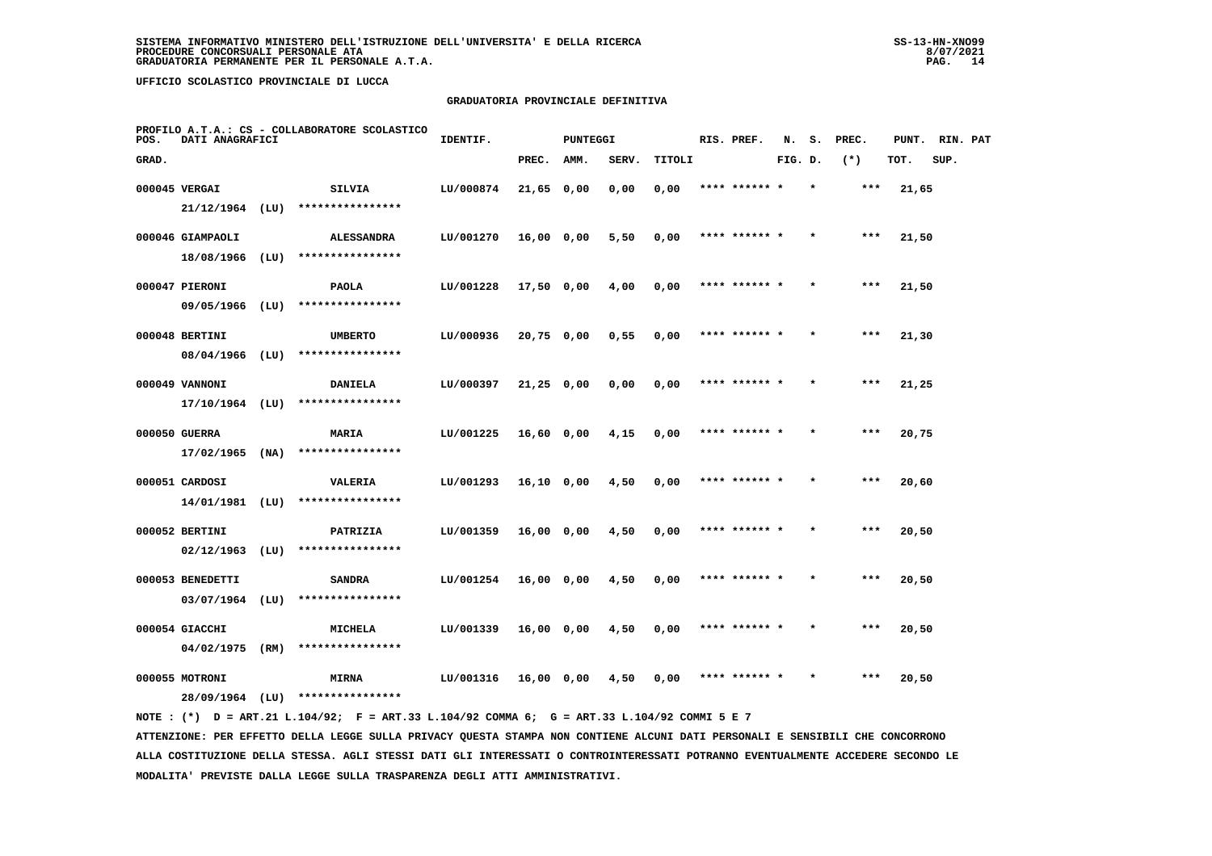# **GRADUATORIA PROVINCIALE DEFINITIVA**

| POS.  | DATI ANAGRAFICI   |      | PROFILO A.T.A.: CS - COLLABORATORE SCOLASTICO | IDENTIF.  |              | <b>PUNTEGGI</b> |       |        | RIS. PREF.    | N.      | s.      | PREC.  | PUNT. | RIN. PAT |  |
|-------|-------------------|------|-----------------------------------------------|-----------|--------------|-----------------|-------|--------|---------------|---------|---------|--------|-------|----------|--|
| GRAD. |                   |      |                                               |           | PREC.        | AMM.            | SERV. | TITOLI |               | FIG. D. |         | $(* )$ | TOT.  | SUP.     |  |
|       | 000045 VERGAI     |      | SILVIA                                        | LU/000874 | 21,65 0,00   |                 | 0,00  | 0,00   | **** ****** * |         |         | ***    | 21,65 |          |  |
|       | $21/12/1964$ (LU) |      | ****************                              |           |              |                 |       |        |               |         |         |        |       |          |  |
|       | 000046 GIAMPAOLI  |      | <b>ALESSANDRA</b>                             | LU/001270 | 16,00 0,00   |                 | 5,50  | 0,00   | **** ****** * |         |         | $***$  | 21,50 |          |  |
|       | 18/08/1966        | (LU) | ****************                              |           |              |                 |       |        |               |         |         |        |       |          |  |
|       | 000047 PIERONI    |      | PAOLA                                         | LU/001228 | 17,50 0,00   |                 | 4,00  | 0,00   | **** ****** * |         |         | $***$  | 21,50 |          |  |
|       | 09/05/1966        | (LU) | ****************                              |           |              |                 |       |        |               |         |         |        |       |          |  |
|       | 000048 BERTINI    |      | <b>UMBERTO</b>                                | LU/000936 | $20,75$ 0,00 |                 | 0,55  | 0,00   | **** ****** * |         |         | $***$  | 21,30 |          |  |
|       | $08/04/1966$ (LU) |      | ****************                              |           |              |                 |       |        |               |         |         |        |       |          |  |
|       | 000049 VANNONI    |      | <b>DANIELA</b>                                | LU/000397 | $21,25$ 0,00 |                 | 0,00  | 0,00   | **** ****** * |         |         | $***$  | 21,25 |          |  |
|       | $17/10/1964$ (LU) |      | ****************                              |           |              |                 |       |        |               |         |         |        |       |          |  |
|       | 000050 GUERRA     |      | MARIA                                         | LU/001225 | 16,60 0,00   |                 | 4,15  | 0,00   | **** ****** * |         | $\star$ | ***    | 20,75 |          |  |
|       | $17/02/1965$ (NA) |      | ****************                              |           |              |                 |       |        |               |         |         |        |       |          |  |
|       | 000051 CARDOSI    |      | VALERIA                                       | LU/001293 | 16,10 0,00   |                 | 4,50  | 0,00   |               |         |         | ***    | 20,60 |          |  |
|       | 14/01/1981 (LU)   |      | ****************                              |           |              |                 |       |        |               |         |         |        |       |          |  |
|       | 000052 BERTINI    |      | PATRIZIA                                      | LU/001359 | $16,00$ 0,00 |                 | 4,50  | 0,00   | **** ****** * |         |         | $***$  | 20,50 |          |  |
|       | 02/12/1963        | (LU) | ****************                              |           |              |                 |       |        |               |         |         |        |       |          |  |
|       | 000053 BENEDETTI  |      | SANDRA                                        | LU/001254 | $16,00$ 0,00 |                 | 4,50  | 0,00   | **** ****** * |         | $\star$ | ***    | 20,50 |          |  |
|       | 03/07/1964        | (LU) | ****************                              |           |              |                 |       |        |               |         |         |        |       |          |  |
|       | 000054 GIACCHI    |      | <b>MICHELA</b>                                | LU/001339 | 16,00 0,00   |                 | 4,50  | 0,00   | **** ****** * |         |         | $***$  | 20,50 |          |  |
|       | 04/02/1975 (RM)   |      | ****************                              |           |              |                 |       |        |               |         |         |        |       |          |  |
|       | 000055 MOTRONI    |      | <b>MIRNA</b>                                  | LU/001316 | 16,00 0,00   |                 | 4,50  | 0,00   |               |         |         | ***    | 20,50 |          |  |
|       | 28/09/1964        | (LU) | ****************                              |           |              |                 |       |        |               |         |         |        |       |          |  |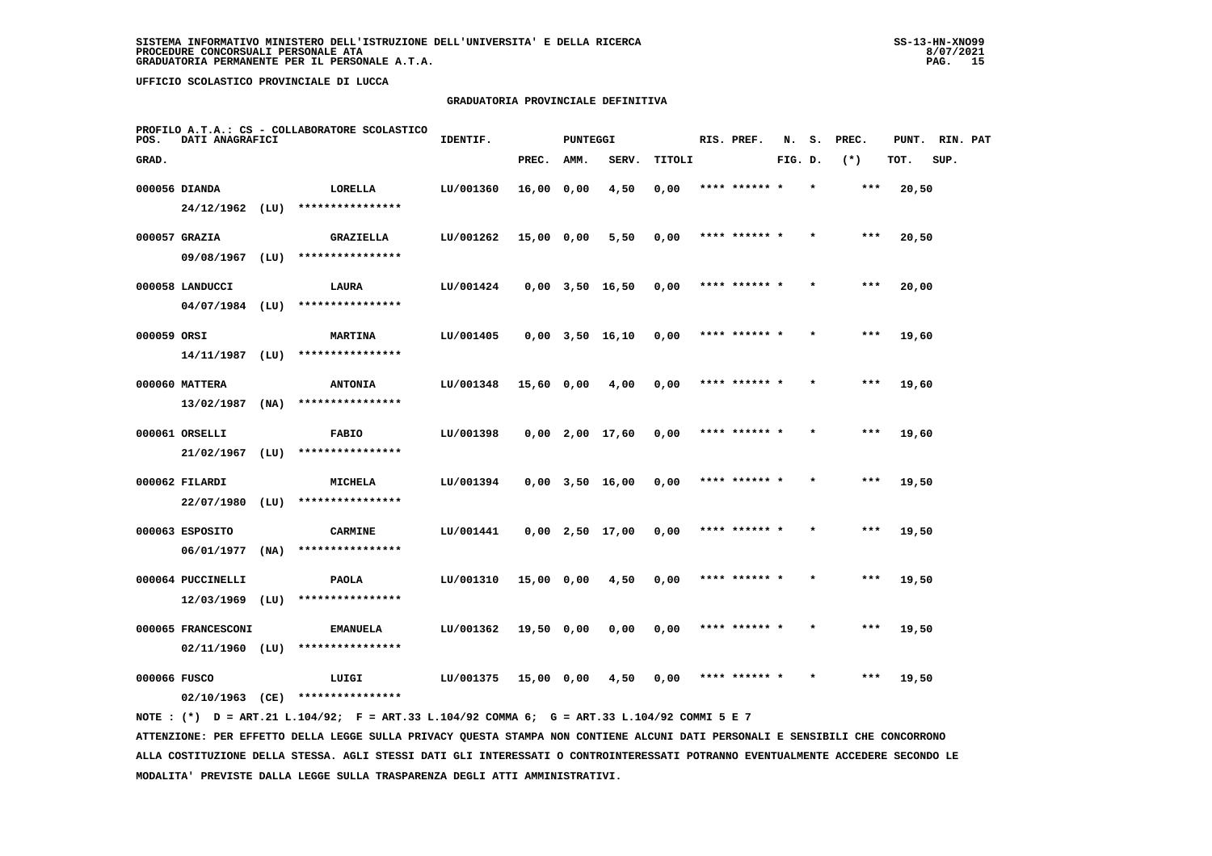### **GRADUATORIA PROVINCIALE DEFINITIVA**

| POS.         | DATI ANAGRAFICI                         |      | PROFILO A.T.A.: CS - COLLABORATORE SCOLASTICO | IDENTIF.  |            | <b>PUNTEGGI</b> |                       |        | RIS. PREF.    | N.      | s. | PREC. | PUNT. | RIN. PAT |  |
|--------------|-----------------------------------------|------|-----------------------------------------------|-----------|------------|-----------------|-----------------------|--------|---------------|---------|----|-------|-------|----------|--|
| GRAD.        |                                         |      |                                               |           | PREC.      | AMM.            | SERV.                 | TITOLI |               | FIG. D. |    | $(*)$ | TOT.  | SUP.     |  |
|              | 000056 DIANDA                           |      | LORELLA                                       | LU/001360 | 16,00 0,00 |                 | 4,50                  | 0,00   | **** ****** * |         |    | ***   | 20,50 |          |  |
|              | $24/12/1962$ (LU)                       |      | ****************                              |           |            |                 |                       |        |               |         |    |       |       |          |  |
|              | 000057 GRAZIA                           |      | <b>GRAZIELLA</b>                              | LU/001262 | 15,00 0,00 |                 | 5,50                  | 0,00   | **** ****** * |         |    | ***   | 20,50 |          |  |
|              | 09/08/1967 (LU)                         |      | ****************                              |           |            |                 |                       |        |               |         |    |       |       |          |  |
|              | 000058 LANDUCCI                         |      | LAURA                                         | LU/001424 |            |                 | $0,00$ $3,50$ $16,50$ | 0,00   | **** ****** * |         |    | $***$ | 20,00 |          |  |
|              | $04/07/1984$ (LU)                       |      | ****************                              |           |            |                 |                       |        |               |         |    |       |       |          |  |
| 000059 ORSI  |                                         |      | <b>MARTINA</b>                                | LU/001405 |            |                 | $0,00$ $3,50$ $16,10$ | 0,00   | **** ****** * |         |    | ***   | 19,60 |          |  |
|              | 14/11/1987                              | (LU) | ****************                              |           |            |                 |                       |        |               |         |    |       |       |          |  |
|              | 000060 MATTERA                          |      | <b>ANTONIA</b>                                | LU/001348 | 15,60 0,00 |                 | 4,00                  | 0,00   | **** ****** * |         |    | ***   | 19,60 |          |  |
|              | 13/02/1987                              | (NA) | ****************                              |           |            |                 |                       |        |               |         |    |       |       |          |  |
|              | 000061 ORSELLI                          |      | <b>FABIO</b>                                  | LU/001398 |            |                 | $0,00$ 2,00 17,60     | 0,00   | **** ****** * |         |    | $***$ | 19,60 |          |  |
|              | 21/02/1967                              | (LU) | ****************                              |           |            |                 |                       |        |               |         |    |       |       |          |  |
|              | 000062 FILARDI                          | (LU) | <b>MICHELA</b><br>****************            | LU/001394 |            |                 | $0,00$ $3,50$ $16,00$ | 0,00   | **** ****** * |         |    | $***$ | 19,50 |          |  |
|              | 22/07/1980                              |      |                                               |           |            |                 |                       |        |               |         |    |       |       |          |  |
|              | 000063 ESPOSITO<br>06/01/1977           | (NA) | <b>CARMINE</b><br>****************            | LU/001441 |            |                 | $0,00$ 2,50 17,00     | 0,00   | **** ****** * |         |    | ***   | 19,50 |          |  |
|              |                                         |      |                                               |           |            |                 |                       |        |               |         |    |       |       |          |  |
|              | 000064 PUCCINELLI<br>12/03/1969         | (LU) | PAOLA<br>****************                     | LU/001310 | 15,00 0,00 |                 | 4,50                  | 0,00   | **** ****** * |         |    | $***$ | 19,50 |          |  |
|              |                                         |      |                                               |           |            |                 |                       |        |               |         |    |       |       |          |  |
|              | 000065 FRANCESCONI<br>$02/11/1960$ (LU) |      | <b>EMANUELA</b><br>****************           | LU/001362 | 19,50 0,00 |                 | 0,00                  | 0,00   | **** ****** * |         |    | ***   | 19,50 |          |  |
|              |                                         |      |                                               |           |            |                 |                       |        | **** ****** * |         |    | $***$ |       |          |  |
| 000066 FUSCO | $02/10/1963$ (CE)                       |      | LUIGI<br>****************                     | LU/001375 | 15,00 0,00 |                 | 4,50                  | 0,00   |               |         |    |       | 19,50 |          |  |
|              |                                         |      |                                               |           |            |                 |                       |        |               |         |    |       |       |          |  |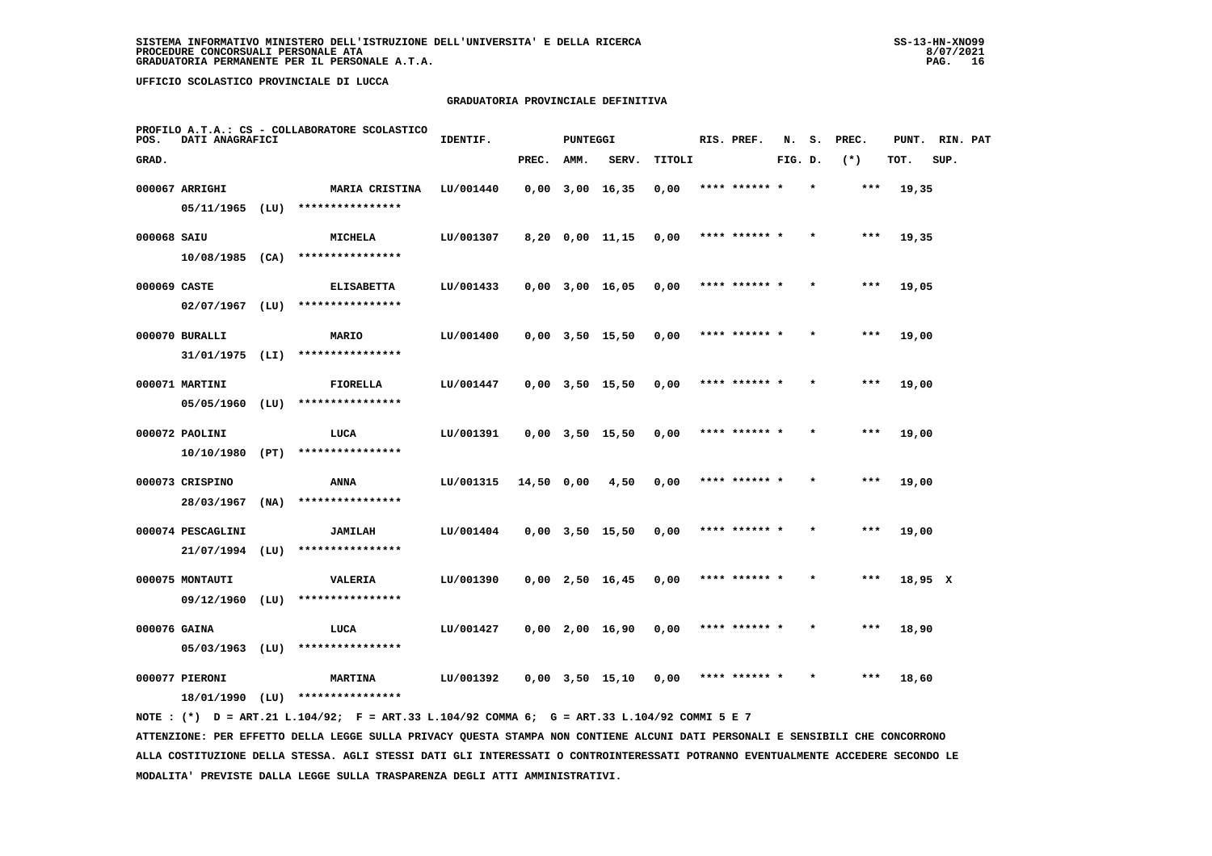# **GRADUATORIA PROVINCIALE DEFINITIVA**

| POS.         | DATI ANAGRAFICI                      |      | PROFILO A.T.A.: CS - COLLABORATORE SCOLASTICO | IDENTIF.  |            | <b>PUNTEGGI</b> |                       |        | RIS. PREF.    | N.      | s.      | PREC. | PUNT.   | RIN. PAT |  |
|--------------|--------------------------------------|------|-----------------------------------------------|-----------|------------|-----------------|-----------------------|--------|---------------|---------|---------|-------|---------|----------|--|
| GRAD.        |                                      |      |                                               |           | PREC.      | AMM.            | SERV.                 | TITOLI |               | FIG. D. |         | $(*)$ | TOT.    | SUP.     |  |
|              | 000067 ARRIGHI                       |      | <b>MARIA CRISTINA</b>                         | LU/001440 |            |                 | $0,00$ 3,00 16,35     | 0,00   | **** ****** * |         |         | ***   | 19,35   |          |  |
|              | $05/11/1965$ (LU)                    |      | ****************                              |           |            |                 |                       |        |               |         |         |       |         |          |  |
| 000068 SAIU  |                                      |      | MICHELA                                       | LU/001307 |            |                 | 8,20 0,00 11,15       | 0,00   | **** ****** * |         |         | $***$ | 19,35   |          |  |
|              | $10/08/1985$ (CA)                    |      | ****************                              |           |            |                 |                       |        |               |         |         |       |         |          |  |
| 000069 CASTE |                                      |      | <b>ELISABETTA</b>                             | LU/001433 |            |                 | $0,00$ 3,00 16,05     | 0,00   | **** ****** * |         |         | ***   | 19,05   |          |  |
|              | $02/07/1967$ (LU)                    |      | ****************                              |           |            |                 |                       |        |               |         |         |       |         |          |  |
|              | 000070 BURALLI                       |      | MARIO                                         | LU/001400 |            |                 | $0,00$ $3,50$ $15,50$ | 0,00   | **** ****** * |         |         | ***   | 19,00   |          |  |
|              | 31/01/1975 (LI)                      |      | ****************                              |           |            |                 |                       |        |               |         |         |       |         |          |  |
|              | 000071 MARTINI                       |      | FIORELLA                                      | LU/001447 |            |                 | $0,00$ $3,50$ $15,50$ | 0,00   | **** ****** * |         |         | ***   | 19,00   |          |  |
|              | 05/05/1960                           | (LU) | ****************                              |           |            |                 |                       |        |               |         |         |       |         |          |  |
|              | 000072 PAOLINI                       |      | LUCA                                          | LU/001391 |            |                 | $0,00$ $3,50$ $15,50$ | 0,00   | **** ****** * |         |         | $***$ | 19,00   |          |  |
|              | 10/10/1980 (PT)                      |      | ****************                              |           |            |                 |                       |        |               |         |         |       |         |          |  |
|              | 000073 CRISPINO                      |      | ANNA<br>****************                      | LU/001315 | 14,50 0,00 |                 | 4,50                  | 0,00   | **** ****** * |         |         | ***   | 19,00   |          |  |
|              | 28/03/1967                           | (NA) |                                               |           |            |                 |                       |        |               |         |         |       |         |          |  |
|              | 000074 PESCAGLINI<br>21/07/1994 (LU) |      | <b>JAMILAH</b><br>****************            | LU/001404 |            |                 | $0,00$ $3,50$ $15,50$ | 0,00   |               |         |         | ***   | 19,00   |          |  |
|              |                                      |      |                                               |           |            |                 |                       |        |               |         |         |       |         |          |  |
|              | 000075 MONTAUTI<br>09/12/1960        | (LU) | VALERIA<br>****************                   | LU/001390 |            |                 | $0,00$ 2,50 16,45     | 0,00   | **** ****** * |         |         | $***$ | 18,95 X |          |  |
|              |                                      |      |                                               |           |            |                 |                       |        |               |         |         |       |         |          |  |
| 000076 GAINA | 05/03/1963                           | (LU) | LUCA<br>****************                      | LU/001427 |            |                 | $0,00$ 2,00 16,90     | 0,00   | **** ****** * |         | $\star$ | ***   | 18,90   |          |  |
|              |                                      |      |                                               |           |            |                 |                       |        |               |         |         | $***$ |         |          |  |
|              | 000077 PIERONI<br>18/01/1990 (LU)    |      | <b>MARTINA</b><br>****************            | LU/001392 |            |                 | $0,00$ $3,50$ $15,10$ | 0,00   | **** ****** * |         |         |       | 18,60   |          |  |
|              |                                      |      |                                               |           |            |                 |                       |        |               |         |         |       |         |          |  |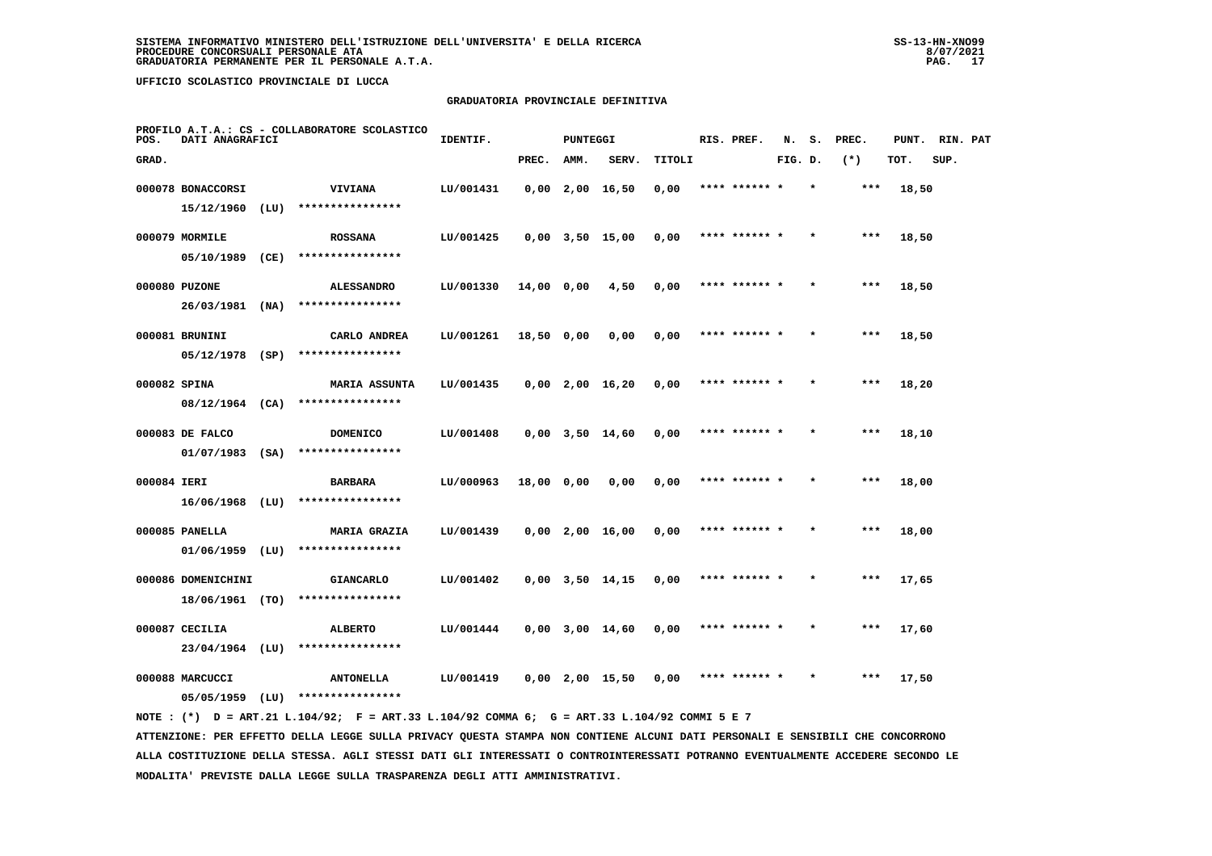### **GRADUATORIA PROVINCIALE DEFINITIVA**

| POS.         | DATI ANAGRAFICI               |      | PROFILO A.T.A.: CS - COLLABORATORE SCOLASTICO | IDENTIF.  |            | <b>PUNTEGGI</b> |                       |        | RIS. PREF.    | N.      | s.      | PREC. | PUNT. | RIN. PAT |  |
|--------------|-------------------------------|------|-----------------------------------------------|-----------|------------|-----------------|-----------------------|--------|---------------|---------|---------|-------|-------|----------|--|
| GRAD.        |                               |      |                                               |           | PREC.      | AMM.            | SERV.                 | TITOLI |               | FIG. D. |         | $(*)$ | TOT.  | SUP.     |  |
|              | 000078 BONACCORSI             |      | <b>VIVIANA</b>                                | LU/001431 |            |                 | $0,00$ 2,00 16,50     | 0,00   | **** ****** * |         | $\star$ | $***$ | 18,50 |          |  |
|              | 15/12/1960                    | (LU) | ****************                              |           |            |                 |                       |        |               |         |         |       |       |          |  |
|              | 000079 MORMILE                |      | <b>ROSSANA</b>                                | LU/001425 |            |                 | $0,00$ $3,50$ $15,00$ | 0,00   | **** ****** * |         |         | $***$ | 18,50 |          |  |
|              | 05/10/1989                    | (CE) | ****************                              |           |            |                 |                       |        |               |         |         |       |       |          |  |
|              | 000080 PUZONE                 |      | <b>ALESSANDRO</b>                             | LU/001330 | 14,00 0,00 |                 | 4,50                  | 0,00   | **** ****** * |         |         | $***$ | 18,50 |          |  |
|              | 26/03/1981                    | (NA) | ****************                              |           |            |                 |                       |        |               |         |         |       |       |          |  |
|              | 000081 BRUNINI                |      | CARLO ANDREA                                  | LU/001261 | 18,50 0,00 |                 | 0,00                  | 0,00   | **** ****** * |         |         | $***$ | 18,50 |          |  |
|              | $05/12/1978$ (SP)             |      | ****************                              |           |            |                 |                       |        |               |         |         |       |       |          |  |
| 000082 SPINA |                               |      | <b>MARIA ASSUNTA</b>                          | LU/001435 |            |                 | $0,00$ 2,00 16,20     | 0,00   | **** ****** * |         |         | $***$ | 18,20 |          |  |
|              | 08/12/1964 (CA)               |      | ****************                              |           |            |                 |                       |        |               |         |         |       |       |          |  |
|              | 000083 DE FALCO               |      | <b>DOMENICO</b>                               | LU/001408 |            |                 | $0,00$ $3,50$ $14,60$ | 0,00   | **** ******   |         |         | $***$ | 18,10 |          |  |
|              | $01/07/1983$ (SA)             |      | ****************                              |           |            |                 |                       |        |               |         |         |       |       |          |  |
| 000084 IERI  |                               |      | <b>BARBARA</b>                                | LU/000963 | 18,00 0,00 |                 | 0,00                  | 0,00   | **** ****** * |         |         | $***$ | 18,00 |          |  |
|              | $16/06/1968$ (LU)             |      | ****************                              |           |            |                 |                       |        |               |         |         |       |       |          |  |
|              | 000085 PANELLA                |      | <b>MARIA GRAZIA</b>                           | LU/001439 |            |                 | $0,00$ 2,00 16,00     | 0,00   | **** ****** * |         |         | $***$ | 18,00 |          |  |
|              | $01/06/1959$ (LU)             |      | ****************                              |           |            |                 |                       |        |               |         |         |       |       |          |  |
|              | 000086 DOMENICHINI            |      | <b>GIANCARLO</b>                              | LU/001402 |            |                 | $0,00$ $3,50$ $14,15$ | 0,00   | **** ****** * |         |         | ***   | 17,65 |          |  |
|              | 18/06/1961 (TO)               |      | ****************                              |           |            |                 |                       |        |               |         |         |       |       |          |  |
|              | 000087 CECILIA                |      | <b>ALBERTO</b>                                | LU/001444 |            |                 | $0,00$ 3,00 14,60     | 0,00   | **** ****** * |         |         | $***$ | 17,60 |          |  |
|              | $23/04/1964$ (LU)             |      | ****************                              |           |            |                 |                       |        |               |         |         |       |       |          |  |
|              | 000088 MARCUCCI<br>05/05/1959 | (LU) | <b>ANTONELLA</b><br>****************          | LU/001419 |            |                 | $0.00$ 2.00 15.50     | 0.00   | **** ****** * |         |         | ***   | 17,50 |          |  |
|              |                               |      |                                               |           |            |                 |                       |        |               |         |         |       |       |          |  |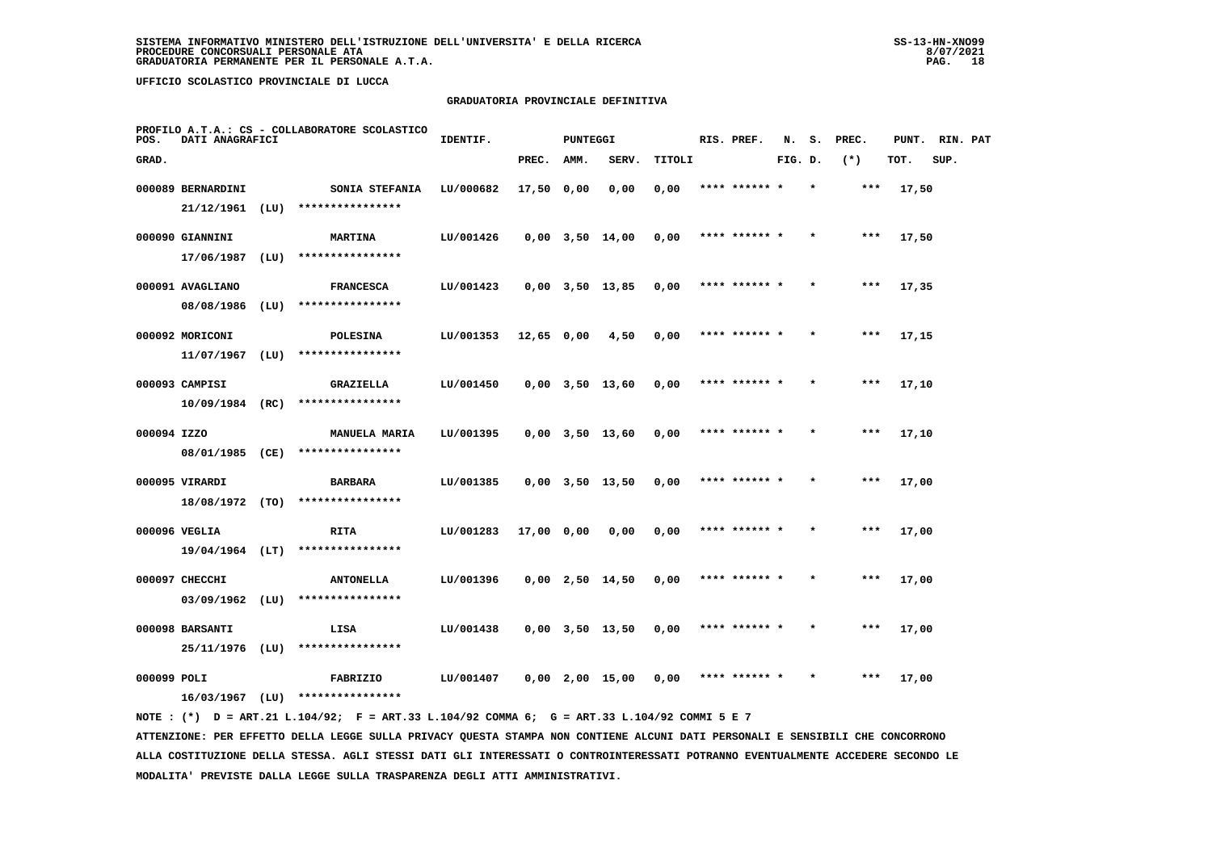### **GRADUATORIA PROVINCIALE DEFINITIVA**

| POS.        | DATI ANAGRAFICI                    |      | PROFILO A.T.A.: CS - COLLABORATORE SCOLASTICO | IDENTIF.  |            | <b>PUNTEGGI</b> |                       |        | RIS. PREF.    | N.      | s. | PREC. | PUNT. | RIN. PAT |  |
|-------------|------------------------------------|------|-----------------------------------------------|-----------|------------|-----------------|-----------------------|--------|---------------|---------|----|-------|-------|----------|--|
| GRAD.       |                                    |      |                                               |           | PREC.      | AMM.            | SERV.                 | TITOLI |               | FIG. D. |    | $(*)$ | TOT.  | SUP.     |  |
|             | 000089 BERNARDINI                  |      | SONIA STEFANIA                                | LU/000682 | 17,50 0,00 |                 | 0,00                  | 0,00   | **** ****** * |         |    | ***   | 17,50 |          |  |
|             | 21/12/1961                         | (LU) | ****************                              |           |            |                 |                       |        |               |         |    |       |       |          |  |
|             | 000090 GIANNINI                    |      | <b>MARTINA</b>                                | LU/001426 |            |                 | $0,00$ $3,50$ $14,00$ | 0,00   | **** ****** * |         |    | $***$ | 17,50 |          |  |
|             | 17/06/1987                         | (LU) | ****************                              |           |            |                 |                       |        |               |         |    |       |       |          |  |
|             | 000091 AVAGLIANO                   |      | <b>FRANCESCA</b>                              | LU/001423 |            |                 | $0,00$ $3,50$ $13,85$ | 0,00   | **** ****** * |         |    | ***   | 17,35 |          |  |
|             | 08/08/1986                         | (LU) | ****************                              |           |            |                 |                       |        |               |         |    |       |       |          |  |
|             | 000092 MORICONI                    |      | <b>POLESINA</b>                               | LU/001353 | 12,65 0,00 |                 | 4,50                  | 0,00   | **** ****** * |         |    | ***   | 17,15 |          |  |
|             | 11/07/1967                         | (LU) | ****************                              |           |            |                 |                       |        |               |         |    |       |       |          |  |
|             | 000093 CAMPISI                     |      | GRAZIELLA                                     | LU/001450 |            |                 | $0,00$ $3,50$ $13,60$ | 0,00   | **** ****** * |         |    | ***   | 17,10 |          |  |
|             | $10/09/1984$ (RC)                  |      | ****************                              |           |            |                 |                       |        |               |         |    |       |       |          |  |
| 000094 IZZO |                                    |      | <b>MANUELA MARIA</b>                          | LU/001395 |            |                 | $0,00$ 3,50 13,60     | 0,00   | **** ****** * |         |    | ***   | 17,10 |          |  |
|             | 08/01/1985 (CE)                    |      | ****************                              |           |            |                 |                       |        |               |         |    |       |       |          |  |
|             | 000095 VIRARDI                     |      | <b>BARBARA</b><br>****************            | LU/001385 |            |                 | $0,00$ $3,50$ $13,50$ | 0,00   | **** ****** * |         |    | $***$ | 17,00 |          |  |
|             | 18/08/1972 (TO)                    |      |                                               |           |            |                 |                       |        |               |         |    |       |       |          |  |
|             | 000096 VEGLIA                      |      | RITA<br>$19/04/1964$ (LT) ****************    | LU/001283 | 17,00 0,00 |                 | 0,00                  | 0,00   | **** ******   |         |    | ***   | 17,00 |          |  |
|             |                                    |      |                                               |           |            |                 |                       |        |               |         |    |       |       |          |  |
|             | 000097 CHECCHI<br>03/09/1962       | (LU) | <b>ANTONELLA</b><br>****************          | LU/001396 |            |                 | $0,00$ 2,50 14,50     | 0,00   | **** ****** * |         |    | $***$ | 17,00 |          |  |
|             |                                    |      |                                               |           |            |                 |                       |        |               |         |    |       |       |          |  |
|             | 000098 BARSANTI<br>25/11/1976 (LU) |      | LISA<br>****************                      | LU/001438 |            |                 | $0,00$ $3,50$ $13,50$ | 0,00   | **** ****** * |         |    | ***   | 17,00 |          |  |
|             |                                    |      |                                               |           |            |                 |                       |        |               |         |    |       |       |          |  |
| 000099 POLI | $16/03/1967$ (LU)                  |      | FABRIZIO<br>****************                  | LU/001407 |            |                 | $0,00$ 2,00 15,00     | 0,00   | **** ****** * |         |    | ***   | 17,00 |          |  |
|             |                                    |      |                                               |           |            |                 |                       |        |               |         |    |       |       |          |  |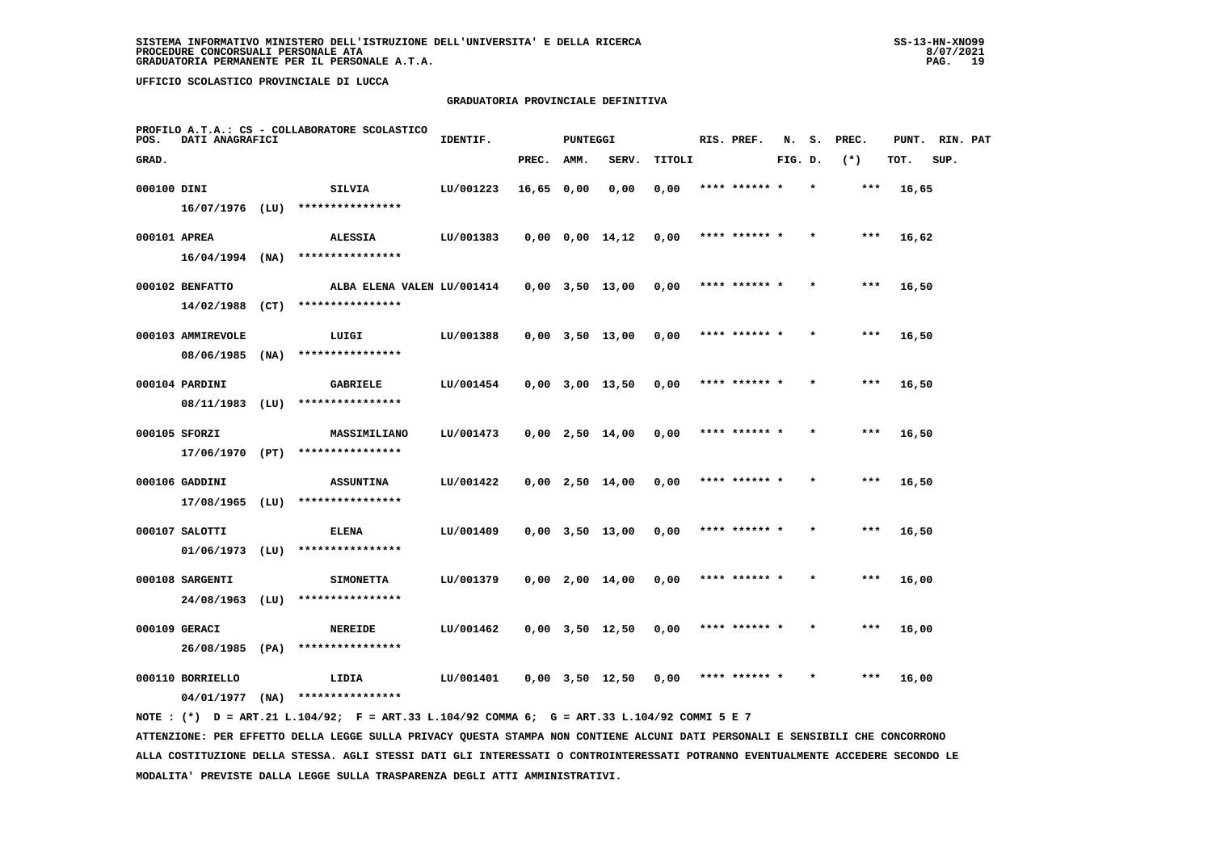### **GRADUATORIA PROVINCIALE DEFINITIVA**

| POS.         | DATI ANAGRAFICI   |      | PROFILO A.T.A.: CS - COLLABORATORE SCOLASTICO | IDENTIF.  |            | <b>PUNTEGGI</b> |                       |        | RIS. PREF.    | N.      | s. | PREC. | PUNT. | RIN. PAT |  |
|--------------|-------------------|------|-----------------------------------------------|-----------|------------|-----------------|-----------------------|--------|---------------|---------|----|-------|-------|----------|--|
| GRAD.        |                   |      |                                               |           | PREC.      | AMM.            | SERV.                 | TITOLI |               | FIG. D. |    | $(*)$ | TOT.  | SUP.     |  |
| 000100 DINI  |                   |      | SILVIA                                        | LU/001223 | 16,65 0,00 |                 | 0,00                  | 0,00   | **** ****** * |         |    | ***   | 16,65 |          |  |
|              | $16/07/1976$ (LU) |      | ****************                              |           |            |                 |                       |        |               |         |    |       |       |          |  |
| 000101 APREA |                   |      | <b>ALESSIA</b>                                | LU/001383 |            |                 | 0,00 0,00 14,12       | 0,00   | **** ****** * |         |    | ***   | 16,62 |          |  |
|              |                   |      | $16/04/1994$ (NA) ****************            |           |            |                 |                       |        |               |         |    |       |       |          |  |
|              | 000102 BENFATTO   |      | ALBA ELENA VALEN LU/001414                    |           |            |                 | 0,00 3,50 13,00       | 0,00   | **** ****** * |         |    | $***$ | 16,50 |          |  |
|              | 14/02/1988 (CT)   |      | ****************                              |           |            |                 |                       |        |               |         |    |       |       |          |  |
|              | 000103 AMMIREVOLE |      | LUIGI                                         | LU/001388 |            |                 | $0,00$ $3,50$ $13,00$ | 0,00   | **** ****** * |         |    | $***$ | 16,50 |          |  |
|              | 08/06/1985        | (NA) | ****************                              |           |            |                 |                       |        |               |         |    |       |       |          |  |
|              | 000104 PARDINI    |      | <b>GABRIELE</b>                               | LU/001454 |            |                 | $0,00$ $3,00$ $13,50$ | 0,00   | **** ****** * |         |    | ***   | 16,50 |          |  |
|              | 08/11/1983 (LU)   |      | ****************                              |           |            |                 |                       |        |               |         |    |       |       |          |  |
|              | 000105 SFORZI     |      | MASSIMILIANO                                  | LU/001473 |            |                 | $0,00$ 2,50 14,00     | 0,00   | **** ****** * |         |    | ***   | 16,50 |          |  |
|              | 17/06/1970 (PT)   |      | ****************                              |           |            |                 |                       |        |               |         |    |       |       |          |  |
|              | 000106 GADDINI    |      | <b>ASSUNTINA</b>                              | LU/001422 |            |                 | $0,00$ 2,50 14,00     | 0,00   | **** ****** * |         |    | $***$ | 16,50 |          |  |
|              | $17/08/1965$ (LU) |      | ****************                              |           |            |                 |                       |        |               |         |    |       |       |          |  |
|              | 000107 SALOTTI    |      | <b>ELENA</b>                                  | LU/001409 |            |                 | $0,00$ $3,50$ $13,00$ | 0,00   | **** ****** * |         |    | $***$ | 16,50 |          |  |
|              | $01/06/1973$ (LU) |      | ****************                              |           |            |                 |                       |        |               |         |    |       |       |          |  |
|              | 000108 SARGENTI   |      | <b>SIMONETTA</b>                              | LU/001379 |            |                 | $0,00$ 2,00 14,00     | 0,00   | **** ****** * |         |    | ***   | 16,00 |          |  |
|              | 24/08/1963 (LU)   |      | ****************                              |           |            |                 |                       |        |               |         |    |       |       |          |  |
|              | 000109 GERACI     |      | <b>NEREIDE</b>                                | LU/001462 |            |                 | $0,00$ $3,50$ $12,50$ | 0,00   | **** ****** * |         |    | ***   | 16,00 |          |  |
|              | 26/08/1985 (PA)   |      | ****************                              |           |            |                 |                       |        |               |         |    |       |       |          |  |
|              | 000110 BORRIELLO  |      | LIDIA                                         | LU/001401 |            |                 | 0,00 3,50 12,50       | 0,00   | **** ****** * |         |    | ***   | 16,00 |          |  |
|              | 04/01/1977        | (NA) | ****************                              |           |            |                 |                       |        |               |         |    |       |       |          |  |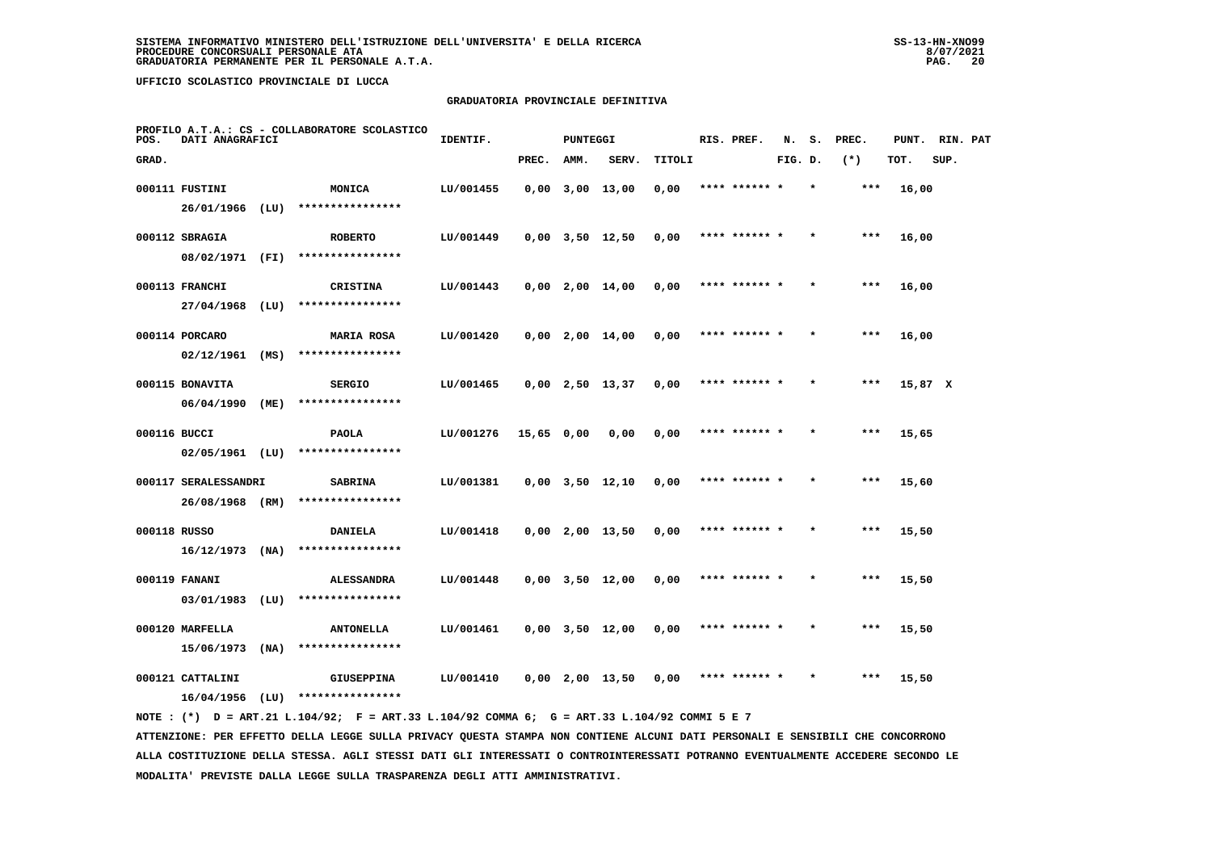# **GRADUATORIA PROVINCIALE DEFINITIVA**

| POS.         | DATI ANAGRAFICI               |      | PROFILO A.T.A.: CS - COLLABORATORE SCOLASTICO | IDENTIF.  |            | <b>PUNTEGGI</b> |                       |        | RIS. PREF.    | N.      | s. | PREC. | PUNT.   | RIN. PAT |  |
|--------------|-------------------------------|------|-----------------------------------------------|-----------|------------|-----------------|-----------------------|--------|---------------|---------|----|-------|---------|----------|--|
| GRAD.        |                               |      |                                               |           | PREC.      | AMM.            | SERV.                 | TITOLI |               | FIG. D. |    | $(*)$ | TOT.    | SUP.     |  |
|              | 000111 FUSTINI                |      | <b>MONICA</b>                                 | LU/001455 |            |                 | $0,00$ $3,00$ $13,00$ | 0,00   | **** ****** * |         |    | ***   | 16,00   |          |  |
|              | 26/01/1966                    | (LU) | ****************                              |           |            |                 |                       |        |               |         |    |       |         |          |  |
|              | 000112 SBRAGIA                |      | <b>ROBERTO</b>                                | LU/001449 |            |                 | $0,00$ $3,50$ $12,50$ | 0,00   | **** ****** * |         |    | $***$ | 16,00   |          |  |
|              | 08/02/1971 (FI)               |      | ****************                              |           |            |                 |                       |        |               |         |    |       |         |          |  |
|              | 000113 FRANCHI                |      | <b>CRISTINA</b>                               | LU/001443 |            |                 | $0,00$ 2,00 14,00     | 0,00   | **** ****** * |         |    | $***$ | 16,00   |          |  |
|              | 27/04/1968                    | (LU) | ****************                              |           |            |                 |                       |        |               |         |    |       |         |          |  |
|              | 000114 PORCARO                |      | <b>MARIA ROSA</b>                             | LU/001420 |            |                 | $0,00$ 2,00 14,00     | 0,00   | **** ****** * |         |    | ***   | 16,00   |          |  |
|              | 02/12/1961                    | (MS) | ****************                              |           |            |                 |                       |        |               |         |    |       |         |          |  |
|              | 000115 BONAVITA               |      | <b>SERGIO</b>                                 | LU/001465 |            |                 | $0,00$ 2,50 13,37     | 0,00   | **** ****** * |         |    | $***$ | 15,87 X |          |  |
|              | 06/04/1990                    | (ME) | ****************                              |           |            |                 |                       |        |               |         |    |       |         |          |  |
| 000116 BUCCI |                               |      | <b>PAOLA</b>                                  | LU/001276 | 15,65 0,00 |                 | 0,00                  | 0,00   | **** ****** * |         |    | ***   | 15,65   |          |  |
|              | $02/05/1961$ (LU)             |      | ****************                              |           |            |                 |                       |        |               |         |    |       |         |          |  |
|              | 000117 SERALESSANDRI          |      | <b>SABRINA</b><br>****************            | LU/001381 |            |                 | $0,00$ $3,50$ $12,10$ | 0,00   | **** ****** * |         |    | $***$ | 15,60   |          |  |
|              | 26/08/1968 (RM)               |      |                                               |           |            |                 |                       |        |               |         |    |       |         |          |  |
| 000118 RUSSO | $16/12/1973$ (NA)             |      | DANIELA<br>****************                   | LU/001418 |            |                 | $0,00$ 2,00 13,50     | 0,00   | **** ******   |         |    | ***   | 15,50   |          |  |
|              |                               |      |                                               |           |            |                 |                       |        |               |         |    |       |         |          |  |
|              | 000119 FANANI<br>03/01/1983   | (LU) | <b>ALESSANDRA</b><br>****************         | LU/001448 |            |                 | $0,00$ $3,50$ $12,00$ | 0,00   | **** ****** * |         |    | $***$ | 15,50   |          |  |
|              |                               |      |                                               |           |            |                 |                       |        |               |         |    |       |         |          |  |
|              | 000120 MARFELLA<br>15/06/1973 | (NA) | <b>ANTONELLA</b><br>****************          | LU/001461 |            |                 | $0,00$ $3,50$ $12,00$ | 0,00   | **** ****** * |         |    | ***   | 15,50   |          |  |
|              | 000121 CATTALINI              |      |                                               | LU/001410 |            |                 | $0,00$ 2,00 13,50     |        | **** ****** * |         |    | ***   |         |          |  |
|              | 16/04/1956                    | (LU) | <b>GIUSEPPINA</b><br>****************         |           |            |                 |                       | 0,00   |               |         |    |       | 15,50   |          |  |
|              |                               |      |                                               |           |            |                 |                       |        |               |         |    |       |         |          |  |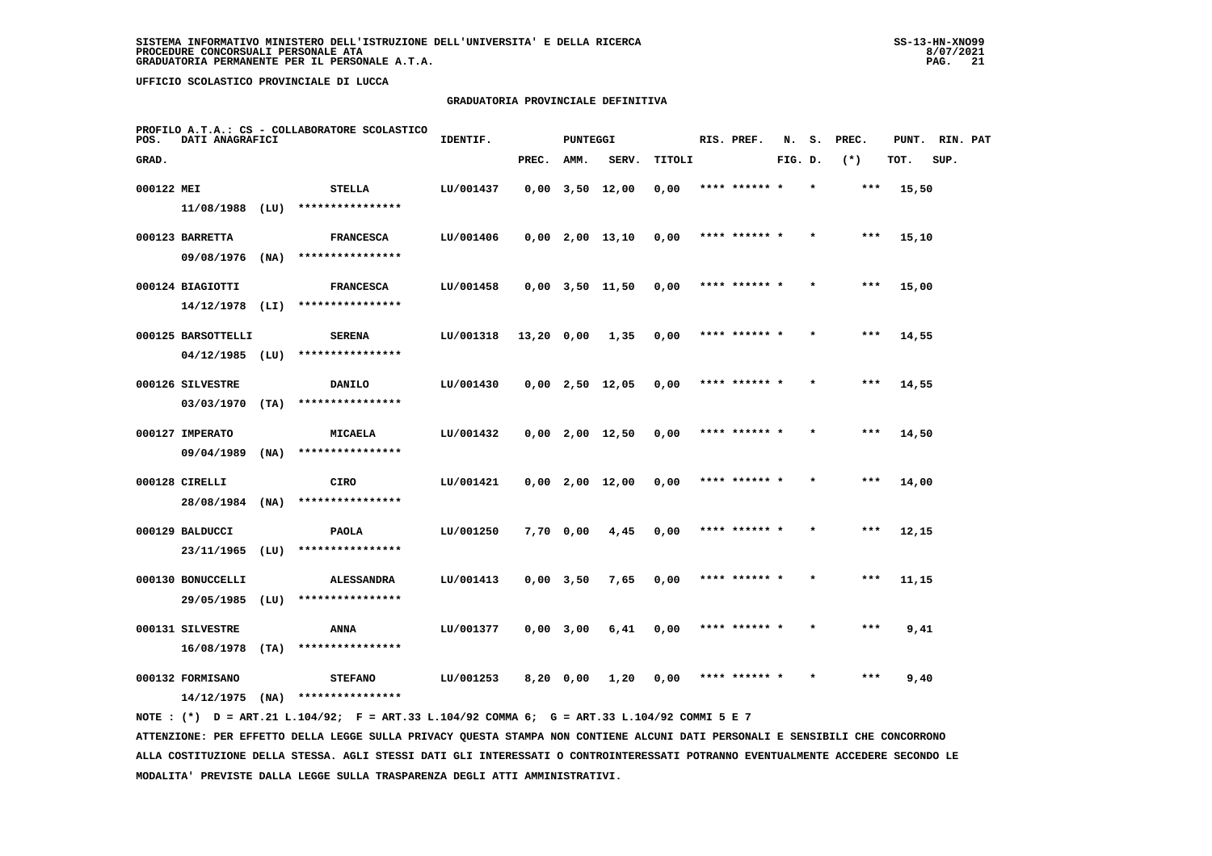# **GRADUATORIA PROVINCIALE DEFINITIVA**

| POS.       | DATI ANAGRAFICI                   |      | PROFILO A.T.A.: CS - COLLABORATORE SCOLASTICO | IDENTIF.  |            | <b>PUNTEGGI</b> |                       |        | RIS. PREF.    | N.      | s. | PREC. | PUNT. | RIN. PAT |  |
|------------|-----------------------------------|------|-----------------------------------------------|-----------|------------|-----------------|-----------------------|--------|---------------|---------|----|-------|-------|----------|--|
| GRAD.      |                                   |      |                                               |           | PREC.      | AMM.            | SERV.                 | TITOLI |               | FIG. D. |    | $(*)$ | TOT.  | SUP.     |  |
| 000122 MEI |                                   |      | STELLA                                        | LU/001437 |            |                 | $0,00$ $3,50$ $12,00$ | 0,00   | **** ****** * |         |    | ***   | 15,50 |          |  |
|            | 11/08/1988 (LU)                   |      | ****************                              |           |            |                 |                       |        |               |         |    |       |       |          |  |
|            | 000123 BARRETTA                   |      | <b>FRANCESCA</b>                              | LU/001406 |            |                 | $0,00$ 2,00 13,10     | 0,00   | **** ****** * |         |    | $***$ | 15,10 |          |  |
|            | 09/08/1976                        | (NA) | ****************                              |           |            |                 |                       |        |               |         |    |       |       |          |  |
|            | 000124 BIAGIOTTI                  |      | <b>FRANCESCA</b>                              | LU/001458 |            |                 | $0,00$ $3,50$ $11,50$ | 0,00   | **** ****** * |         |    | ***   | 15,00 |          |  |
|            | $14/12/1978$ (LI)                 |      | ****************                              |           |            |                 |                       |        |               |         |    |       |       |          |  |
|            | 000125 BARSOTTELLI                |      | <b>SERENA</b>                                 | LU/001318 | 13,20 0,00 |                 | 1,35                  | 0,00   | **** ****** * |         |    | ***   | 14,55 |          |  |
|            | 04/12/1985                        | (LU) | ****************                              |           |            |                 |                       |        |               |         |    |       |       |          |  |
|            | 000126 SILVESTRE                  |      | DANILO                                        | LU/001430 |            |                 | $0,00$ 2,50 12,05     | 0,00   | **** ****** * |         |    | ***   | 14,55 |          |  |
|            | 03/03/1970                        | (TA) | ****************                              |           |            |                 |                       |        |               |         |    |       |       |          |  |
|            | 000127 IMPERATO                   |      | MICAELA<br>****************                   | LU/001432 |            |                 | $0,00$ 2,00 12,50     | 0,00   | **** ****** * |         |    | $***$ | 14,50 |          |  |
|            | 09/04/1989                        | (NA) |                                               |           |            |                 |                       |        |               |         |    |       |       |          |  |
|            | 000128 CIRELLI<br>28/08/1984 (NA) |      | CIRO<br>****************                      | LU/001421 |            |                 | $0,00$ 2,00 12,00     | 0,00   | **** ****** * |         |    | ***   | 14,00 |          |  |
|            |                                   |      |                                               |           |            |                 |                       |        |               |         |    |       |       |          |  |
|            | 000129 BALDUCCI<br>23/11/1965     | (LU) | <b>PAOLA</b><br>****************              | LU/001250 |            | 7,70 0,00       | 4,45                  | 0,00   | **** ****** * |         |    | $***$ | 12,15 |          |  |
|            |                                   |      |                                               |           |            |                 |                       |        | **** ****** * |         |    | ***   |       |          |  |
|            | 000130 BONUCCELLI<br>29/05/1985   | (LU) | <b>ALESSANDRA</b><br>****************         | LU/001413 |            | $0,00$ 3,50     | 7,65                  | 0,00   |               |         |    |       | 11,15 |          |  |
|            | 000131 SILVESTRE                  |      | ANNA                                          | LU/001377 |            | $0,00$ 3,00     | 6,41                  | 0,00   | **** ****** * |         |    | ***   | 9,41  |          |  |
|            | 16/08/1978                        | (TA) | ****************                              |           |            |                 |                       |        |               |         |    |       |       |          |  |
|            | 000132 FORMISANO                  |      | <b>STEFANO</b>                                | LU/001253 |            | 8,20 0,00       | 1,20                  | 0,00   | **** ****** * |         |    | ***   | 9,40  |          |  |
|            | 14/12/1975                        | (NA) | ****************                              |           |            |                 |                       |        |               |         |    |       |       |          |  |
|            |                                   |      |                                               |           |            |                 |                       |        |               |         |    |       |       |          |  |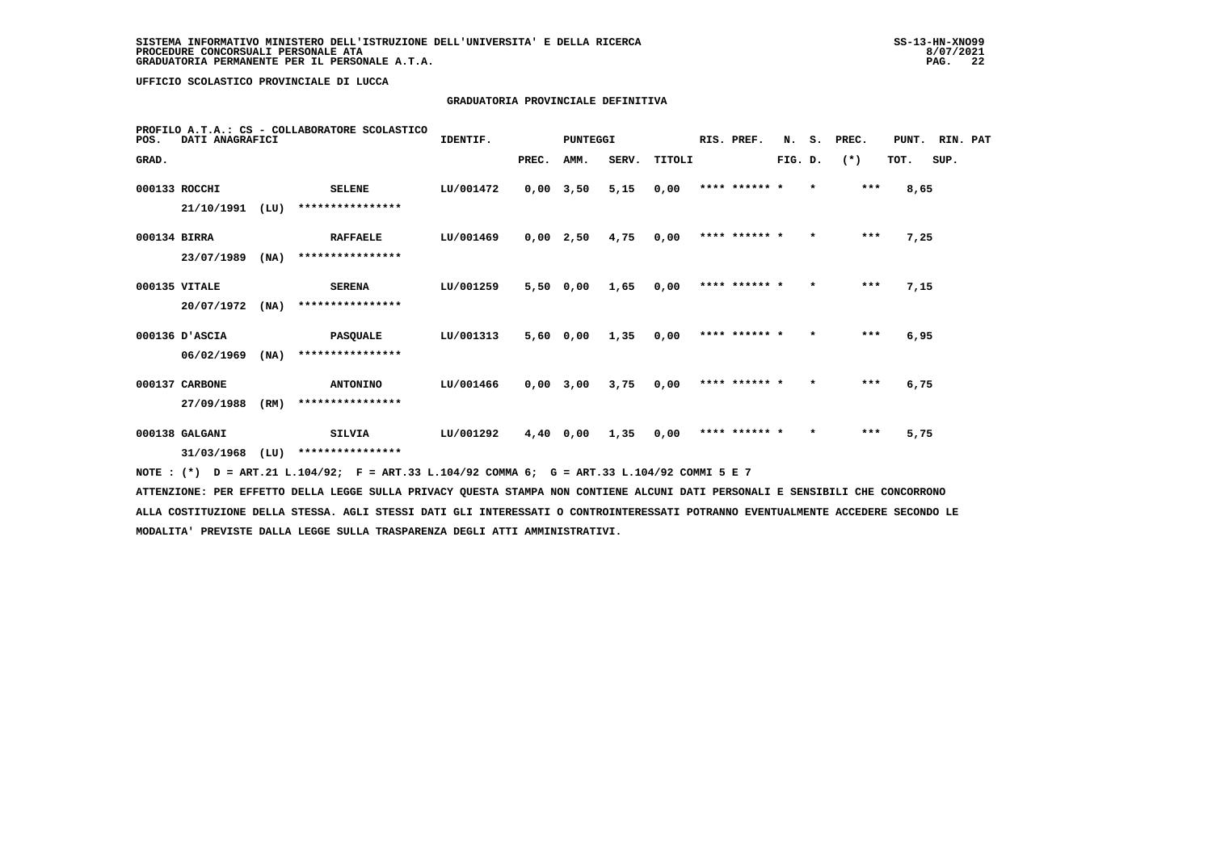### **GRADUATORIA PROVINCIALE DEFINITIVA**

| POS.         | PROFILO A.T.A.: CS - COLLABORATORE SCOLASTICO<br>DATI ANAGRAFICI | RIS. PREF.<br>IDENTIF.<br>PUNTEGGI |                  |           |             |      | N.    | s.     | PREC. | PUNT.         | RIN. PAT |         |       |      |      |  |
|--------------|------------------------------------------------------------------|------------------------------------|------------------|-----------|-------------|------|-------|--------|-------|---------------|----------|---------|-------|------|------|--|
| GRAD.        |                                                                  |                                    |                  |           | PREC.       | AMM. | SERV. | TITOLI |       |               | FIG. D.  |         | $(*)$ | TOT. | SUP. |  |
|              | 000133 ROCCHI                                                    |                                    | <b>SELENE</b>    | LU/001472 | $0,00$ 3,50 |      | 5,15  | 0,00   |       | **** ****** * |          | $\star$ | $***$ | 8,65 |      |  |
|              | 21/10/1991                                                       | (LU)                               | **************** |           |             |      |       |        |       |               |          |         |       |      |      |  |
| 000134 BIRRA |                                                                  |                                    | <b>RAFFAELE</b>  | LU/001469 | 0,00        | 2,50 | 4,75  | 0,00   |       | **** ****** * |          | $\star$ | $***$ | 7,25 |      |  |
|              | 23/07/1989                                                       | (MA)                               | **************** |           |             |      |       |        |       |               |          |         |       |      |      |  |
|              | 000135 VITALE                                                    |                                    | <b>SERENA</b>    | LU/001259 | 5,500,00    |      | 1,65  | 0,00   |       | **** ****** * |          | $\star$ | $***$ | 7,15 |      |  |
|              | 20/07/1972                                                       | (MA)                               | **************** |           |             |      |       |        |       |               |          |         |       |      |      |  |
|              | 000136 D'ASCIA                                                   |                                    | <b>PASQUALE</b>  | LU/001313 | 5,60        | 0,00 | 1,35  | 0,00   |       | **** ****** * |          | $\star$ | $***$ | 6,95 |      |  |
|              | 06/02/1969                                                       | (NA)                               | **************** |           |             |      |       |        |       |               |          |         |       |      |      |  |
|              | 000137 CARBONE                                                   |                                    | <b>ANTONINO</b>  | LU/001466 | $0,00$ 3,00 |      | 3,75  | 0,00   |       | **** ****** * |          | $\star$ | $***$ | 6,75 |      |  |
|              | 27/09/1988                                                       | (RM)                               | **************** |           |             |      |       |        |       |               |          |         |       |      |      |  |
|              | 000138 GALGANI                                                   | <b>SILVIA</b>                      |                  | LU/001292 | 4,40        | 0,00 | 1,35  | 0,00   |       | **** ****** * |          |         | ***   | 5,75 |      |  |
|              | 31/03/1968                                                       | (LU)                               | **************** |           |             |      |       |        |       |               |          |         |       |      |      |  |

 **NOTE : (\*) D = ART.21 L.104/92; F = ART.33 L.104/92 COMMA 6; G = ART.33 L.104/92 COMMI 5 E 7**

 **ATTENZIONE: PER EFFETTO DELLA LEGGE SULLA PRIVACY QUESTA STAMPA NON CONTIENE ALCUNI DATI PERSONALI E SENSIBILI CHE CONCORRONO ALLA COSTITUZIONE DELLA STESSA. AGLI STESSI DATI GLI INTERESSATI O CONTROINTERESSATI POTRANNO EVENTUALMENTE ACCEDERE SECONDO LE MODALITA' PREVISTE DALLA LEGGE SULLA TRASPARENZA DEGLI ATTI AMMINISTRATIVI.**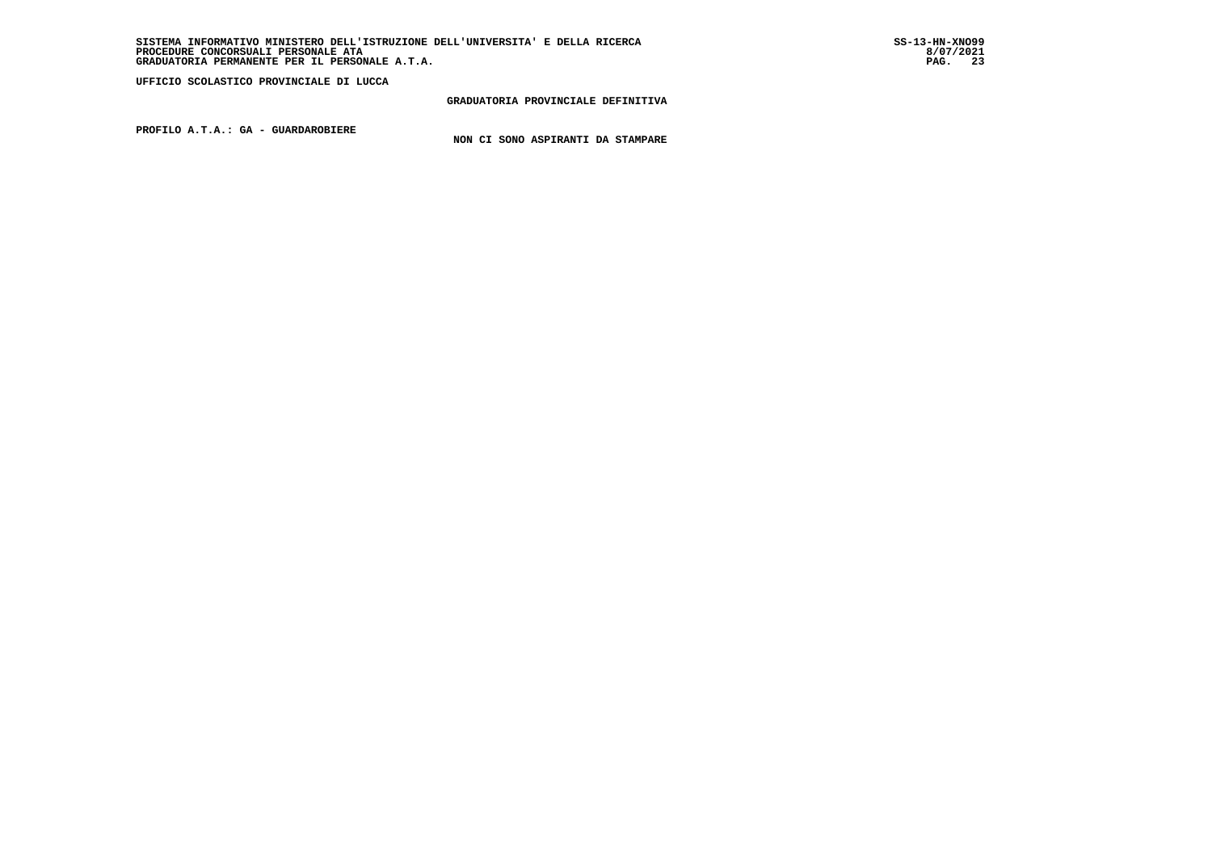### **GRADUATORIA PROVINCIALE DEFINITIVA**

 **PROFILO A.T.A.: GA - GUARDAROBIERE**

 **NON CI SONO ASPIRANTI DA STAMPARE**